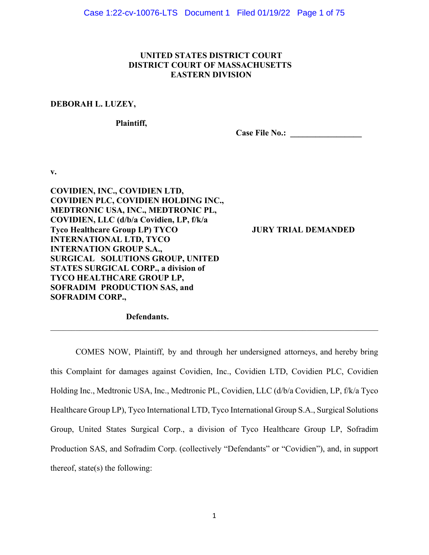# **UNITED STATES DISTRICT COURT DISTRICT COURT OF MASSACHUSETTS EASTERN DIVISION**

#### **DEBORAH L. LUZEY,**

 **Plaintiff,** 

Case File No.: <u>\_\_\_\_\_\_\_\_\_\_\_\_\_\_\_</u>

**v.** 

**COVIDIEN, INC., COVIDIEN LTD, COVIDIEN PLC, COVIDIEN HOLDING INC., MEDTRONIC USA, INC., MEDTRONIC PL, COVIDIEN, LLC (d/b/a Covidien, LP, f/k/a Tyco Healthcare Group LP) TYCO JURY TRIAL DEMANDED INTERNATIONAL LTD, TYCO INTERNATION GROUP S.A., SURGICAL SOLUTIONS GROUP, UNITED STATES SURGICAL CORP., a division of TYCO HEALTHCARE GROUP LP, SOFRADIM PRODUCTION SAS, and SOFRADIM CORP.,** 

 **Defendants.** 

COMES NOW, Plaintiff, by and through her undersigned attorneys, and hereby bring this Complaint for damages against Covidien, Inc., Covidien LTD, Covidien PLC, Covidien Holding Inc., Medtronic USA, Inc., Medtronic PL, Covidien, LLC (d/b/a Covidien, LP, f/k/a Tyco Healthcare Group LP), Tyco International LTD, Tyco International Group S.A., Surgical Solutions Group, United States Surgical Corp., a division of Tyco Healthcare Group LP, Sofradim Production SAS, and Sofradim Corp. (collectively "Defendants" or "Covidien"), and, in support thereof, state(s) the following: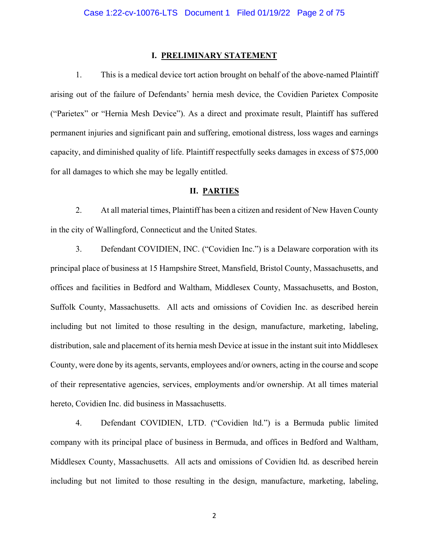#### **I. PRELIMINARY STATEMENT**

1. This is a medical device tort action brought on behalf of the above-named Plaintiff arising out of the failure of Defendants' hernia mesh device, the Covidien Parietex Composite ("Parietex" or "Hernia Mesh Device"). As a direct and proximate result, Plaintiff has suffered permanent injuries and significant pain and suffering, emotional distress, loss wages and earnings capacity, and diminished quality of life. Plaintiff respectfully seeks damages in excess of \$75,000 for all damages to which she may be legally entitled.

#### **II. PARTIES**

2. At all material times, Plaintiff has been a citizen and resident of New Haven County in the city of Wallingford, Connecticut and the United States.

3. Defendant COVIDIEN, INC. ("Covidien Inc.") is a Delaware corporation with its principal place of business at 15 Hampshire Street, Mansfield, Bristol County, Massachusetts, and offices and facilities in Bedford and Waltham, Middlesex County, Massachusetts, and Boston, Suffolk County, Massachusetts. All acts and omissions of Covidien Inc. as described herein including but not limited to those resulting in the design, manufacture, marketing, labeling, distribution, sale and placement of its hernia mesh Device at issue in the instant suit into Middlesex County, were done by its agents, servants, employees and/or owners, acting in the course and scope of their representative agencies, services, employments and/or ownership. At all times material hereto, Covidien Inc. did business in Massachusetts.

4. Defendant COVIDIEN, LTD. ("Covidien ltd.") is a Bermuda public limited company with its principal place of business in Bermuda, and offices in Bedford and Waltham, Middlesex County, Massachusetts. All acts and omissions of Covidien ltd. as described herein including but not limited to those resulting in the design, manufacture, marketing, labeling,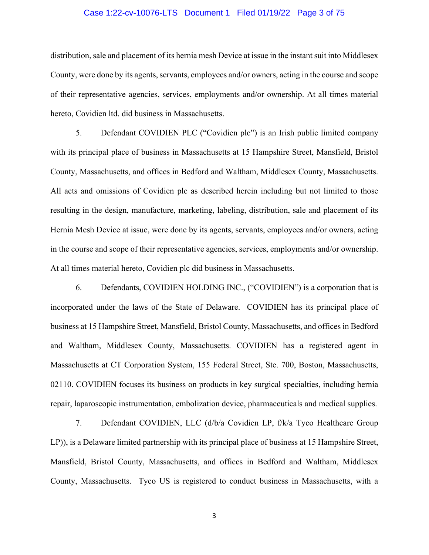### Case 1:22-cv-10076-LTS Document 1 Filed 01/19/22 Page 3 of 75

distribution, sale and placement of its hernia mesh Device at issue in the instant suit into Middlesex County, were done by its agents, servants, employees and/or owners, acting in the course and scope of their representative agencies, services, employments and/or ownership. At all times material hereto, Covidien ltd. did business in Massachusetts.

5. Defendant COVIDIEN PLC ("Covidien plc") is an Irish public limited company with its principal place of business in Massachusetts at 15 Hampshire Street, Mansfield, Bristol County, Massachusetts, and offices in Bedford and Waltham, Middlesex County, Massachusetts. All acts and omissions of Covidien plc as described herein including but not limited to those resulting in the design, manufacture, marketing, labeling, distribution, sale and placement of its Hernia Mesh Device at issue, were done by its agents, servants, employees and/or owners, acting in the course and scope of their representative agencies, services, employments and/or ownership. At all times material hereto, Covidien plc did business in Massachusetts.

6. Defendants, COVIDIEN HOLDING INC., ("COVIDIEN") is a corporation that is incorporated under the laws of the State of Delaware. COVIDIEN has its principal place of business at 15 Hampshire Street, Mansfield, Bristol County, Massachusetts, and offices in Bedford and Waltham, Middlesex County, Massachusetts. COVIDIEN has a registered agent in Massachusetts at CT Corporation System, 155 Federal Street, Ste. 700, Boston, Massachusetts, 02110. COVIDIEN focuses its business on products in key surgical specialties, including hernia repair, laparoscopic instrumentation, embolization device, pharmaceuticals and medical supplies.

7. Defendant COVIDIEN, LLC (d/b/a Covidien LP, f/k/a Tyco Healthcare Group LP)), is a Delaware limited partnership with its principal place of business at 15 Hampshire Street, Mansfield, Bristol County, Massachusetts, and offices in Bedford and Waltham, Middlesex County, Massachusetts. Tyco US is registered to conduct business in Massachusetts, with a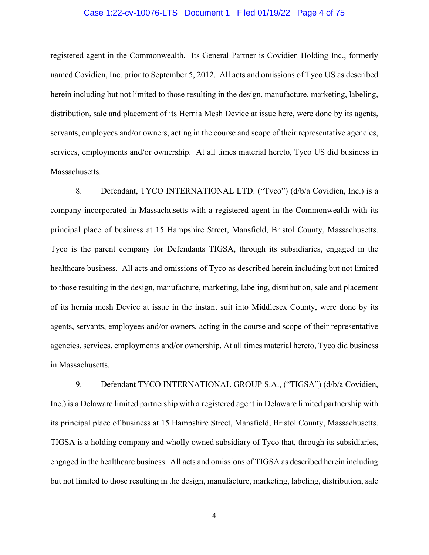#### Case 1:22-cv-10076-LTS Document 1 Filed 01/19/22 Page 4 of 75

registered agent in the Commonwealth. Its General Partner is Covidien Holding Inc., formerly named Covidien, Inc. prior to September 5, 2012. All acts and omissions of Tyco US as described herein including but not limited to those resulting in the design, manufacture, marketing, labeling, distribution, sale and placement of its Hernia Mesh Device at issue here, were done by its agents, servants, employees and/or owners, acting in the course and scope of their representative agencies, services, employments and/or ownership. At all times material hereto, Tyco US did business in Massachusetts.

8. Defendant, TYCO INTERNATIONAL LTD. ("Tyco") (d/b/a Covidien, Inc.) is a company incorporated in Massachusetts with a registered agent in the Commonwealth with its principal place of business at 15 Hampshire Street, Mansfield, Bristol County, Massachusetts. Tyco is the parent company for Defendants TIGSA, through its subsidiaries, engaged in the healthcare business. All acts and omissions of Tyco as described herein including but not limited to those resulting in the design, manufacture, marketing, labeling, distribution, sale and placement of its hernia mesh Device at issue in the instant suit into Middlesex County, were done by its agents, servants, employees and/or owners, acting in the course and scope of their representative agencies, services, employments and/or ownership. At all times material hereto, Tyco did business in Massachusetts.

9. Defendant TYCO INTERNATIONAL GROUP S.A., ("TIGSA") (d/b/a Covidien, Inc.) is a Delaware limited partnership with a registered agent in Delaware limited partnership with its principal place of business at 15 Hampshire Street, Mansfield, Bristol County, Massachusetts. TIGSA is a holding company and wholly owned subsidiary of Tyco that, through its subsidiaries, engaged in the healthcare business. All acts and omissions of TIGSA as described herein including but not limited to those resulting in the design, manufacture, marketing, labeling, distribution, sale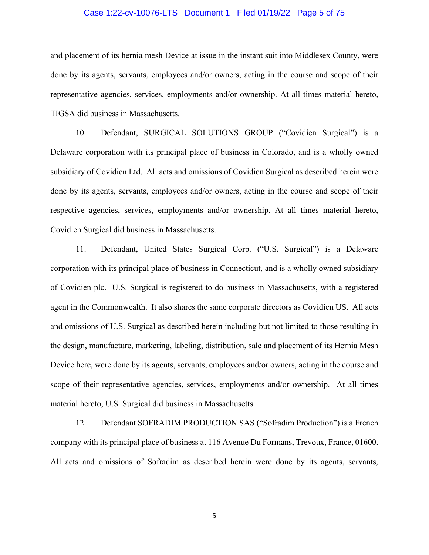#### Case 1:22-cv-10076-LTS Document 1 Filed 01/19/22 Page 5 of 75

and placement of its hernia mesh Device at issue in the instant suit into Middlesex County, were done by its agents, servants, employees and/or owners, acting in the course and scope of their representative agencies, services, employments and/or ownership. At all times material hereto, TIGSA did business in Massachusetts.

10. Defendant, SURGICAL SOLUTIONS GROUP ("Covidien Surgical") is a Delaware corporation with its principal place of business in Colorado, and is a wholly owned subsidiary of Covidien Ltd. All acts and omissions of Covidien Surgical as described herein were done by its agents, servants, employees and/or owners, acting in the course and scope of their respective agencies, services, employments and/or ownership. At all times material hereto, Covidien Surgical did business in Massachusetts.

11. Defendant, United States Surgical Corp. ("U.S. Surgical") is a Delaware corporation with its principal place of business in Connecticut, and is a wholly owned subsidiary of Covidien plc. U.S. Surgical is registered to do business in Massachusetts, with a registered agent in the Commonwealth. It also shares the same corporate directors as Covidien US. All acts and omissions of U.S. Surgical as described herein including but not limited to those resulting in the design, manufacture, marketing, labeling, distribution, sale and placement of its Hernia Mesh Device here, were done by its agents, servants, employees and/or owners, acting in the course and scope of their representative agencies, services, employments and/or ownership. At all times material hereto, U.S. Surgical did business in Massachusetts.

12. Defendant SOFRADIM PRODUCTION SAS ("Sofradim Production") is a French company with its principal place of business at 116 Avenue Du Formans, Trevoux, France, 01600. All acts and omissions of Sofradim as described herein were done by its agents, servants,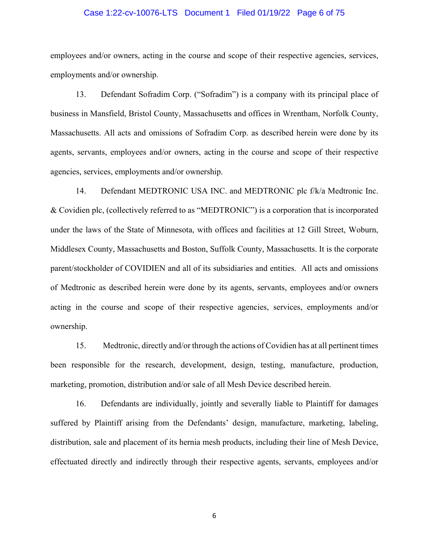### Case 1:22-cv-10076-LTS Document 1 Filed 01/19/22 Page 6 of 75

employees and/or owners, acting in the course and scope of their respective agencies, services, employments and/or ownership.

13. Defendant Sofradim Corp. ("Sofradim") is a company with its principal place of business in Mansfield, Bristol County, Massachusetts and offices in Wrentham, Norfolk County, Massachusetts. All acts and omissions of Sofradim Corp. as described herein were done by its agents, servants, employees and/or owners, acting in the course and scope of their respective agencies, services, employments and/or ownership.

14. Defendant MEDTRONIC USA INC. and MEDTRONIC plc f/k/a Medtronic Inc. & Covidien plc, (collectively referred to as "MEDTRONIC") is a corporation that is incorporated under the laws of the State of Minnesota, with offices and facilities at 12 Gill Street, Woburn, Middlesex County, Massachusetts and Boston, Suffolk County, Massachusetts. It is the corporate parent/stockholder of COVIDIEN and all of its subsidiaries and entities. All acts and omissions of Medtronic as described herein were done by its agents, servants, employees and/or owners acting in the course and scope of their respective agencies, services, employments and/or ownership.

15. Medtronic, directly and/or through the actions of Covidien has at all pertinent times been responsible for the research, development, design, testing, manufacture, production, marketing, promotion, distribution and/or sale of all Mesh Device described herein.

16. Defendants are individually, jointly and severally liable to Plaintiff for damages suffered by Plaintiff arising from the Defendants' design, manufacture, marketing, labeling, distribution, sale and placement of its hernia mesh products, including their line of Mesh Device, effectuated directly and indirectly through their respective agents, servants, employees and/or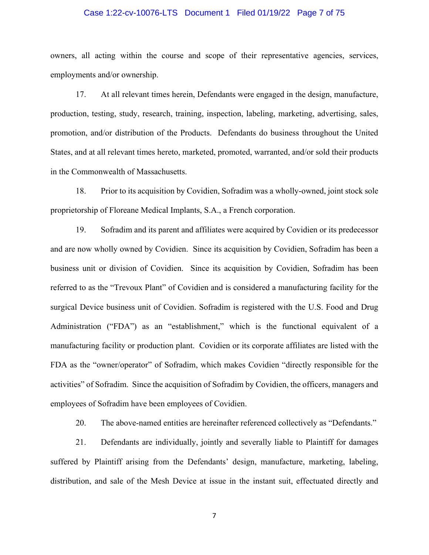# Case 1:22-cv-10076-LTS Document 1 Filed 01/19/22 Page 7 of 75

owners, all acting within the course and scope of their representative agencies, services, employments and/or ownership.

17. At all relevant times herein, Defendants were engaged in the design, manufacture, production, testing, study, research, training, inspection, labeling, marketing, advertising, sales, promotion, and/or distribution of the Products. Defendants do business throughout the United States, and at all relevant times hereto, marketed, promoted, warranted, and/or sold their products in the Commonwealth of Massachusetts.

18. Prior to its acquisition by Covidien, Sofradim was a wholly-owned, joint stock sole proprietorship of Floreane Medical Implants, S.A., a French corporation.

19. Sofradim and its parent and affiliates were acquired by Covidien or its predecessor and are now wholly owned by Covidien. Since its acquisition by Covidien, Sofradim has been a business unit or division of Covidien. Since its acquisition by Covidien, Sofradim has been referred to as the "Trevoux Plant" of Covidien and is considered a manufacturing facility for the surgical Device business unit of Covidien. Sofradim is registered with the U.S. Food and Drug Administration ("FDA") as an "establishment," which is the functional equivalent of a manufacturing facility or production plant. Covidien or its corporate affiliates are listed with the FDA as the "owner/operator" of Sofradim, which makes Covidien "directly responsible for the activities" of Sofradim. Since the acquisition of Sofradim by Covidien, the officers, managers and employees of Sofradim have been employees of Covidien.

20. The above-named entities are hereinafter referenced collectively as "Defendants."

21. Defendants are individually, jointly and severally liable to Plaintiff for damages suffered by Plaintiff arising from the Defendants' design, manufacture, marketing, labeling, distribution, and sale of the Mesh Device at issue in the instant suit, effectuated directly and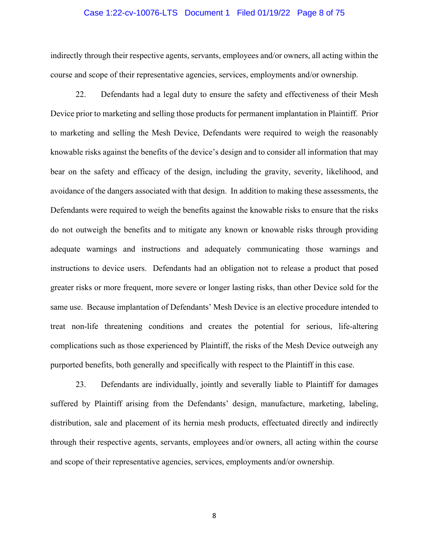#### Case 1:22-cv-10076-LTS Document 1 Filed 01/19/22 Page 8 of 75

indirectly through their respective agents, servants, employees and/or owners, all acting within the course and scope of their representative agencies, services, employments and/or ownership.

22. Defendants had a legal duty to ensure the safety and effectiveness of their Mesh Device prior to marketing and selling those products for permanent implantation in Plaintiff. Prior to marketing and selling the Mesh Device, Defendants were required to weigh the reasonably knowable risks against the benefits of the device's design and to consider all information that may bear on the safety and efficacy of the design, including the gravity, severity, likelihood, and avoidance of the dangers associated with that design. In addition to making these assessments, the Defendants were required to weigh the benefits against the knowable risks to ensure that the risks do not outweigh the benefits and to mitigate any known or knowable risks through providing adequate warnings and instructions and adequately communicating those warnings and instructions to device users. Defendants had an obligation not to release a product that posed greater risks or more frequent, more severe or longer lasting risks, than other Device sold for the same use. Because implantation of Defendants' Mesh Device is an elective procedure intended to treat non-life threatening conditions and creates the potential for serious, life-altering complications such as those experienced by Plaintiff, the risks of the Mesh Device outweigh any purported benefits, both generally and specifically with respect to the Plaintiff in this case.

23. Defendants are individually, jointly and severally liable to Plaintiff for damages suffered by Plaintiff arising from the Defendants' design, manufacture, marketing, labeling, distribution, sale and placement of its hernia mesh products, effectuated directly and indirectly through their respective agents, servants, employees and/or owners, all acting within the course and scope of their representative agencies, services, employments and/or ownership.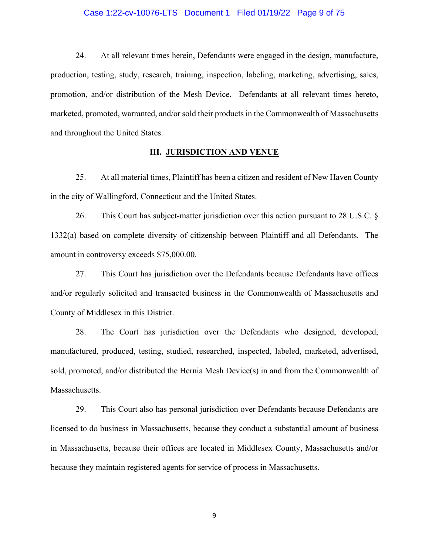#### Case 1:22-cv-10076-LTS Document 1 Filed 01/19/22 Page 9 of 75

24. At all relevant times herein, Defendants were engaged in the design, manufacture, production, testing, study, research, training, inspection, labeling, marketing, advertising, sales, promotion, and/or distribution of the Mesh Device. Defendants at all relevant times hereto, marketed, promoted, warranted, and/or sold their products in the Commonwealth of Massachusetts and throughout the United States.

# **III. JURISDICTION AND VENUE**

25. At all material times, Plaintiff has been a citizen and resident of New Haven County in the city of Wallingford, Connecticut and the United States.

26. This Court has subject-matter jurisdiction over this action pursuant to 28 U.S.C. § 1332(a) based on complete diversity of citizenship between Plaintiff and all Defendants. The amount in controversy exceeds \$75,000.00.

27. This Court has jurisdiction over the Defendants because Defendants have offices and/or regularly solicited and transacted business in the Commonwealth of Massachusetts and County of Middlesex in this District.

28. The Court has jurisdiction over the Defendants who designed, developed, manufactured, produced, testing, studied, researched, inspected, labeled, marketed, advertised, sold, promoted, and/or distributed the Hernia Mesh Device(s) in and from the Commonwealth of Massachusetts.

29. This Court also has personal jurisdiction over Defendants because Defendants are licensed to do business in Massachusetts, because they conduct a substantial amount of business in Massachusetts, because their offices are located in Middlesex County, Massachusetts and/or because they maintain registered agents for service of process in Massachusetts.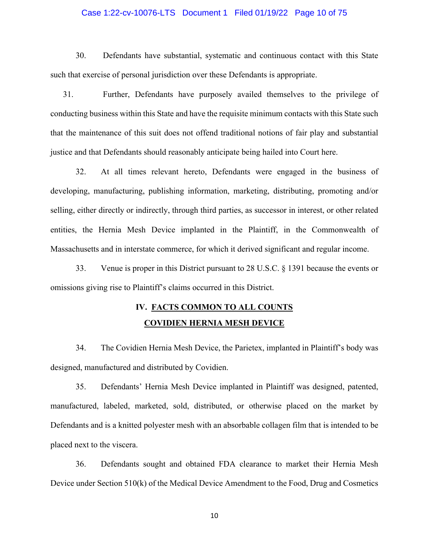# Case 1:22-cv-10076-LTS Document 1 Filed 01/19/22 Page 10 of 75

30. Defendants have substantial, systematic and continuous contact with this State such that exercise of personal jurisdiction over these Defendants is appropriate.

31. Further, Defendants have purposely availed themselves to the privilege of conducting business within this State and have the requisite minimum contacts with this State such that the maintenance of this suit does not offend traditional notions of fair play and substantial justice and that Defendants should reasonably anticipate being hailed into Court here.

32. At all times relevant hereto, Defendants were engaged in the business of developing, manufacturing, publishing information, marketing, distributing, promoting and/or selling, either directly or indirectly, through third parties, as successor in interest, or other related entities, the Hernia Mesh Device implanted in the Plaintiff, in the Commonwealth of Massachusetts and in interstate commerce, for which it derived significant and regular income.

33. Venue is proper in this District pursuant to 28 U.S.C. § 1391 because the events or omissions giving rise to Plaintiff's claims occurred in this District.

# **IV. FACTS COMMON TO ALL COUNTS COVIDIEN HERNIA MESH DEVICE**

34. The Covidien Hernia Mesh Device, the Parietex, implanted in Plaintiff's body was designed, manufactured and distributed by Covidien.

35. Defendants' Hernia Mesh Device implanted in Plaintiff was designed, patented, manufactured, labeled, marketed, sold, distributed, or otherwise placed on the market by Defendants and is a knitted polyester mesh with an absorbable collagen film that is intended to be placed next to the viscera.

36. Defendants sought and obtained FDA clearance to market their Hernia Mesh Device under Section 510(k) of the Medical Device Amendment to the Food, Drug and Cosmetics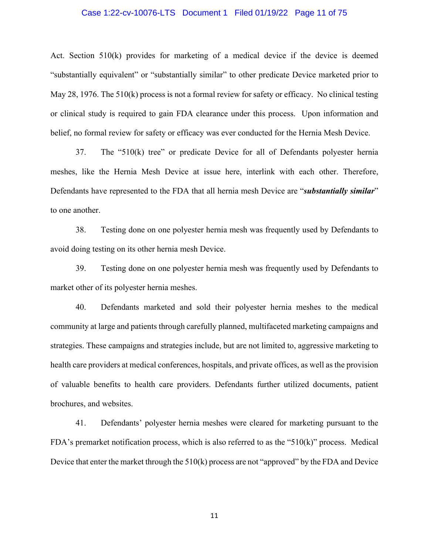# Case 1:22-cv-10076-LTS Document 1 Filed 01/19/22 Page 11 of 75

Act. Section 510(k) provides for marketing of a medical device if the device is deemed "substantially equivalent" or "substantially similar" to other predicate Device marketed prior to May 28, 1976. The 510(k) process is not a formal review for safety or efficacy. No clinical testing or clinical study is required to gain FDA clearance under this process. Upon information and belief, no formal review for safety or efficacy was ever conducted for the Hernia Mesh Device.

37. The "510(k) tree" or predicate Device for all of Defendants polyester hernia meshes, like the Hernia Mesh Device at issue here, interlink with each other. Therefore, Defendants have represented to the FDA that all hernia mesh Device are "*substantially similar*" to one another.

38. Testing done on one polyester hernia mesh was frequently used by Defendants to avoid doing testing on its other hernia mesh Device.

39. Testing done on one polyester hernia mesh was frequently used by Defendants to market other of its polyester hernia meshes.

40. Defendants marketed and sold their polyester hernia meshes to the medical community at large and patients through carefully planned, multifaceted marketing campaigns and strategies. These campaigns and strategies include, but are not limited to, aggressive marketing to health care providers at medical conferences, hospitals, and private offices, as well as the provision of valuable benefits to health care providers. Defendants further utilized documents, patient brochures, and websites.

41. Defendants' polyester hernia meshes were cleared for marketing pursuant to the FDA's premarket notification process, which is also referred to as the "510(k)" process. Medical Device that enter the market through the 510(k) process are not "approved" by the FDA and Device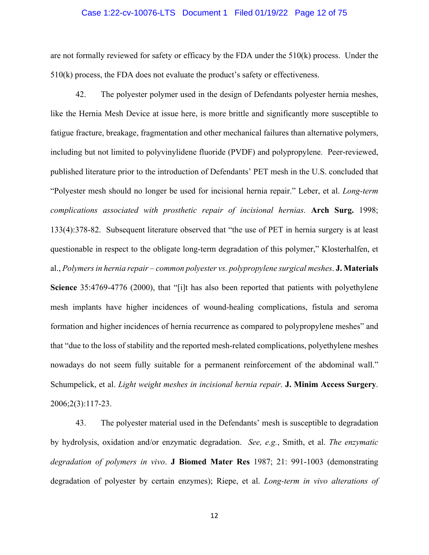#### Case 1:22-cv-10076-LTS Document 1 Filed 01/19/22 Page 12 of 75

are not formally reviewed for safety or efficacy by the FDA under the 510(k) process. Under the 510(k) process, the FDA does not evaluate the product's safety or effectiveness.

42. The polyester polymer used in the design of Defendants polyester hernia meshes, like the Hernia Mesh Device at issue here, is more brittle and significantly more susceptible to fatigue fracture, breakage, fragmentation and other mechanical failures than alternative polymers, including but not limited to polyvinylidene fluoride (PVDF) and polypropylene. Peer-reviewed, published literature prior to the introduction of Defendants' PET mesh in the U.S. concluded that "Polyester mesh should no longer be used for incisional hernia repair." Leber, et al. *Long-term complications associated with prosthetic repair of incisional hernias*. **Arch Surg.** 1998; 133(4):378-82. Subsequent literature observed that "the use of PET in hernia surgery is at least questionable in respect to the obligate long-term degradation of this polymer," Klosterhalfen, et al., *Polymers in hernia repair – common polyester vs. polypropylene surgical meshes*. **J. Materials Science** 35:4769-4776 (2000), that "[i]t has also been reported that patients with polyethylene mesh implants have higher incidences of wound-healing complications, fistula and seroma formation and higher incidences of hernia recurrence as compared to polypropylene meshes" and that "due to the loss of stability and the reported mesh-related complications, polyethylene meshes nowadays do not seem fully suitable for a permanent reinforcement of the abdominal wall." Schumpelick, et al. *Light weight meshes in incisional hernia repair*. **J. Minim Access Surgery**. 2006;2(3):117-23.

43. The polyester material used in the Defendants' mesh is susceptible to degradation by hydrolysis, oxidation and/or enzymatic degradation. *See, e.g.*, Smith, et al. *The enzymatic degradation of polymers in vivo*. **J Biomed Mater Res** 1987; 21: 991-1003 (demonstrating degradation of polyester by certain enzymes); Riepe, et al. *Long-term in vivo alterations of*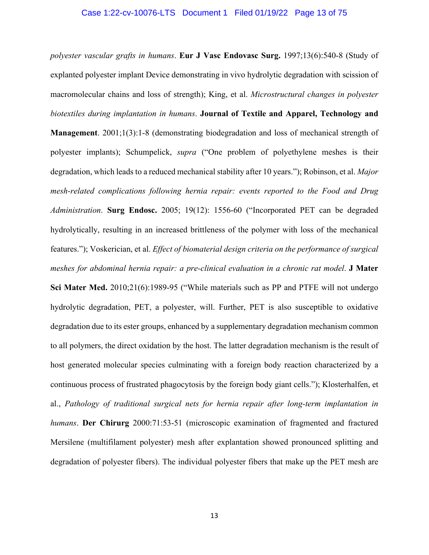# Case 1:22-cv-10076-LTS Document 1 Filed 01/19/22 Page 13 of 75

*polyester vascular grafts in humans*. **Eur J Vasc Endovasc Surg.** 1997;13(6):540-8 (Study of explanted polyester implant Device demonstrating in vivo hydrolytic degradation with scission of macromolecular chains and loss of strength); King, et al. *Microstructural changes in polyester biotextiles during implantation in humans*. **Journal of Textile and Apparel, Technology and Management**. 2001;1(3):1-8 (demonstrating biodegradation and loss of mechanical strength of polyester implants); Schumpelick, *supra* ("One problem of polyethylene meshes is their degradation, which leads to a reduced mechanical stability after 10 years."); Robinson, et al. *Major mesh-related complications following hernia repair: events reported to the Food and Drug Administration*. **Surg Endosc.** 2005; 19(12): 1556-60 ("Incorporated PET can be degraded hydrolytically, resulting in an increased brittleness of the polymer with loss of the mechanical features."); Voskerician, et al. *Effect of biomaterial design criteria on the performance of surgical meshes for abdominal hernia repair: a pre-clinical evaluation in a chronic rat model*. **J Mater Sci Mater Med.** 2010;21(6):1989-95 ("While materials such as PP and PTFE will not undergo hydrolytic degradation, PET, a polyester, will. Further, PET is also susceptible to oxidative degradation due to its ester groups, enhanced by a supplementary degradation mechanism common to all polymers, the direct oxidation by the host. The latter degradation mechanism is the result of host generated molecular species culminating with a foreign body reaction characterized by a continuous process of frustrated phagocytosis by the foreign body giant cells."); Klosterhalfen, et al., *Pathology of traditional surgical nets for hernia repair after long-term implantation in humans*. **Der Chirurg** 2000:71:53-51 (microscopic examination of fragmented and fractured Mersilene (multifilament polyester) mesh after explantation showed pronounced splitting and degradation of polyester fibers). The individual polyester fibers that make up the PET mesh are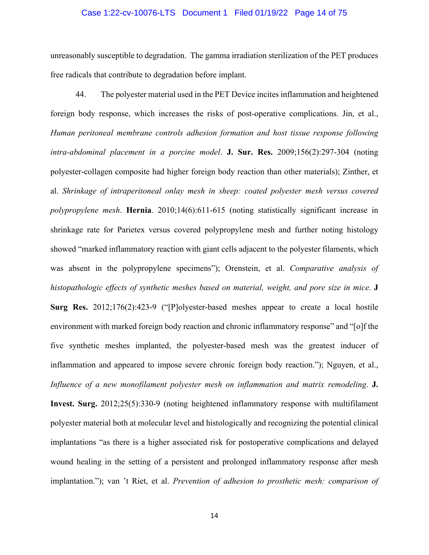# Case 1:22-cv-10076-LTS Document 1 Filed 01/19/22 Page 14 of 75

unreasonably susceptible to degradation. The gamma irradiation sterilization of the PET produces free radicals that contribute to degradation before implant.

44. The polyester material used in the PET Device incites inflammation and heightened foreign body response, which increases the risks of post-operative complications. Jin, et al., *Human peritoneal membrane controls adhesion formation and host tissue response following intra-abdominal placement in a porcine model*. **J. Sur. Res.** 2009;156(2):297-304 (noting polyester-collagen composite had higher foreign body reaction than other materials); Zinther, et al. *Shrinkage of intraperitoneal onlay mesh in sheep: coated polyester mesh versus covered polypropylene mesh*. **Hernia**. 2010;14(6):611-615 (noting statistically significant increase in shrinkage rate for Parietex versus covered polypropylene mesh and further noting histology showed "marked inflammatory reaction with giant cells adjacent to the polyester filaments, which was absent in the polypropylene specimens"); Orenstein, et al. *Comparative analysis of histopathologic effects of synthetic meshes based on material, weight, and pore size in mice*. **J Surg Res.** 2012;176(2):423-9 ("[P]olyester-based meshes appear to create a local hostile environment with marked foreign body reaction and chronic inflammatory response" and "[o]f the five synthetic meshes implanted, the polyester-based mesh was the greatest inducer of inflammation and appeared to impose severe chronic foreign body reaction."); Nguyen, et al., *Influence of a new monofilament polyester mesh on inflammation and matrix remodeling*. **J. Invest. Surg.** 2012;25(5):330-9 (noting heightened inflammatory response with multifilament polyester material both at molecular level and histologically and recognizing the potential clinical implantations "as there is a higher associated risk for postoperative complications and delayed wound healing in the setting of a persistent and prolonged inflammatory response after mesh implantation."); van 't Riet, et al. *Prevention of adhesion to prosthetic mesh: comparison of*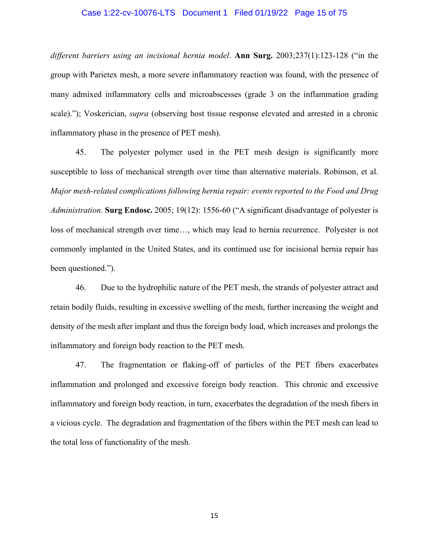# Case 1:22-cv-10076-LTS Document 1 Filed 01/19/22 Page 15 of 75

*different barriers using an incisional hernia model*. **Ann Surg.** 2003;237(1):123-128 ("in the group with Parietex mesh, a more severe inflammatory reaction was found, with the presence of many admixed inflammatory cells and microabscesses (grade 3 on the inflammation grading scale)."); Voskerician, *supra* (observing host tissue response elevated and arrested in a chronic inflammatory phase in the presence of PET mesh).

45. The polyester polymer used in the PET mesh design is significantly more susceptible to loss of mechanical strength over time than alternative materials. Robinson, et al. *Major mesh-related complications following hernia repair: events reported to the Food and Drug Administration*. **Surg Endosc.** 2005; 19(12): 1556-60 ("A significant disadvantage of polyester is loss of mechanical strength over time…, which may lead to hernia recurrence. Polyester is not commonly implanted in the United States, and its continued use for incisional hernia repair has been questioned.").

46. Due to the hydrophilic nature of the PET mesh, the strands of polyester attract and retain bodily fluids, resulting in excessive swelling of the mesh, further increasing the weight and density of the mesh after implant and thus the foreign body load, which increases and prolongs the inflammatory and foreign body reaction to the PET mesh.

47. The fragmentation or flaking-off of particles of the PET fibers exacerbates inflammation and prolonged and excessive foreign body reaction. This chronic and excessive inflammatory and foreign body reaction, in turn, exacerbates the degradation of the mesh fibers in a vicious cycle. The degradation and fragmentation of the fibers within the PET mesh can lead to the total loss of functionality of the mesh.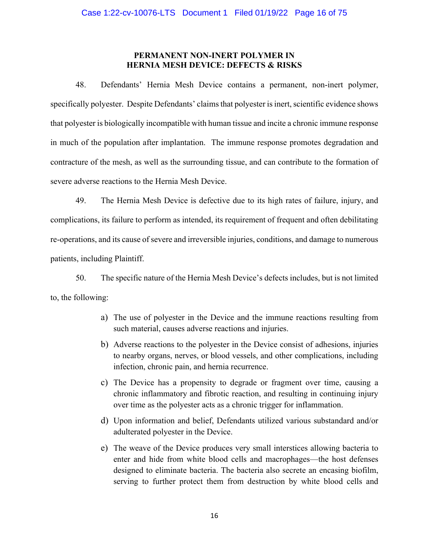# **PERMANENT NON-INERT POLYMER IN HERNIA MESH DEVICE: DEFECTS & RISKS**

48. Defendants' Hernia Mesh Device contains a permanent, non-inert polymer, specifically polyester. Despite Defendants' claims that polyester is inert, scientific evidence shows that polyester is biologically incompatible with human tissue and incite a chronic immune response in much of the population after implantation. The immune response promotes degradation and contracture of the mesh, as well as the surrounding tissue, and can contribute to the formation of severe adverse reactions to the Hernia Mesh Device.

49. The Hernia Mesh Device is defective due to its high rates of failure, injury, and complications, its failure to perform as intended, its requirement of frequent and often debilitating re-operations, and its cause of severe and irreversible injuries, conditions, and damage to numerous patients, including Plaintiff.

50. The specific nature of the Hernia Mesh Device's defects includes, but is not limited to, the following:

- a) The use of polyester in the Device and the immune reactions resulting from such material, causes adverse reactions and injuries.
- b) Adverse reactions to the polyester in the Device consist of adhesions, injuries to nearby organs, nerves, or blood vessels, and other complications, including infection, chronic pain, and hernia recurrence.
- c) The Device has a propensity to degrade or fragment over time, causing a chronic inflammatory and fibrotic reaction, and resulting in continuing injury over time as the polyester acts as a chronic trigger for inflammation.
- d) Upon information and belief, Defendants utilized various substandard and/or adulterated polyester in the Device.
- e) The weave of the Device produces very small interstices allowing bacteria to enter and hide from white blood cells and macrophages—the host defenses designed to eliminate bacteria. The bacteria also secrete an encasing biofilm, serving to further protect them from destruction by white blood cells and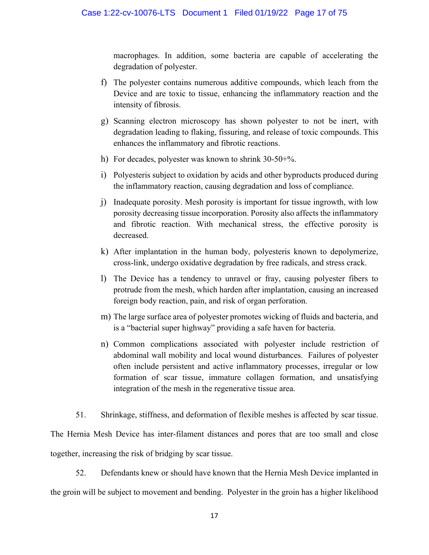macrophages. In addition, some bacteria are capable of accelerating the degradation of polyester.

- f) The polyester contains numerous additive compounds, which leach from the Device and are toxic to tissue, enhancing the inflammatory reaction and the intensity of fibrosis.
- g) Scanning electron microscopy has shown polyester to not be inert, with degradation leading to flaking, fissuring, and release of toxic compounds. This enhances the inflammatory and fibrotic reactions.
- h) For decades, polyester was known to shrink 30-50+%.
- i) Polyesteris subject to oxidation by acids and other byproducts produced during the inflammatory reaction, causing degradation and loss of compliance.
- j) Inadequate porosity. Mesh porosity is important for tissue ingrowth, with low porosity decreasing tissue incorporation. Porosity also affects the inflammatory and fibrotic reaction. With mechanical stress, the effective porosity is decreased.
- k) After implantation in the human body, polyesteris known to depolymerize, cross-link, undergo oxidative degradation by free radicals, and stress crack.
- l) The Device has a tendency to unravel or fray, causing polyester fibers to protrude from the mesh, which harden after implantation, causing an increased foreign body reaction, pain, and risk of organ perforation.
- m) The large surface area of polyester promotes wicking of fluids and bacteria, and is a "bacterial super highway" providing a safe haven for bacteria.
- n) Common complications associated with polyester include restriction of abdominal wall mobility and local wound disturbances. Failures of polyester often include persistent and active inflammatory processes, irregular or low formation of scar tissue, immature collagen formation, and unsatisfying integration of the mesh in the regenerative tissue area.

51. Shrinkage, stiffness, and deformation of flexible meshes is affected by scar tissue. The Hernia Mesh Device has inter-filament distances and pores that are too small and close together, increasing the risk of bridging by scar tissue.

52. Defendants knew or should have known that the Hernia Mesh Device implanted in the groin will be subject to movement and bending. Polyester in the groin has a higher likelihood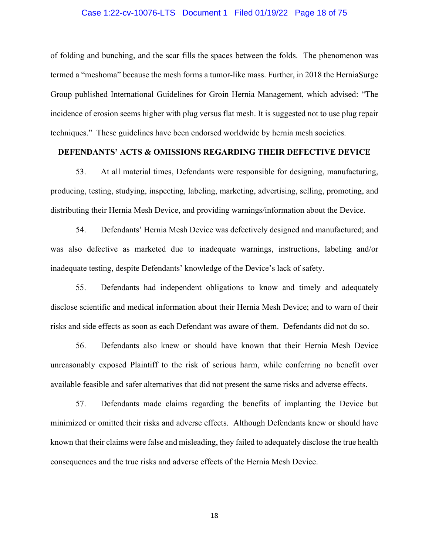# Case 1:22-cv-10076-LTS Document 1 Filed 01/19/22 Page 18 of 75

of folding and bunching, and the scar fills the spaces between the folds. The phenomenon was termed a "meshoma" because the mesh forms a tumor-like mass. Further, in 2018 the HerniaSurge Group published International Guidelines for Groin Hernia Management, which advised: "The incidence of erosion seems higher with plug versus flat mesh. It is suggested not to use plug repair techniques." These guidelines have been endorsed worldwide by hernia mesh societies.

# **DEFENDANTS' ACTS & OMISSIONS REGARDING THEIR DEFECTIVE DEVICE**

53. At all material times, Defendants were responsible for designing, manufacturing, producing, testing, studying, inspecting, labeling, marketing, advertising, selling, promoting, and distributing their Hernia Mesh Device, and providing warnings/information about the Device.

54. Defendants' Hernia Mesh Device was defectively designed and manufactured; and was also defective as marketed due to inadequate warnings, instructions, labeling and/or inadequate testing, despite Defendants' knowledge of the Device's lack of safety.

55. Defendants had independent obligations to know and timely and adequately disclose scientific and medical information about their Hernia Mesh Device; and to warn of their risks and side effects as soon as each Defendant was aware of them. Defendants did not do so.

56. Defendants also knew or should have known that their Hernia Mesh Device unreasonably exposed Plaintiff to the risk of serious harm, while conferring no benefit over available feasible and safer alternatives that did not present the same risks and adverse effects.

57. Defendants made claims regarding the benefits of implanting the Device but minimized or omitted their risks and adverse effects. Although Defendants knew or should have known that their claims were false and misleading, they failed to adequately disclose the true health consequences and the true risks and adverse effects of the Hernia Mesh Device.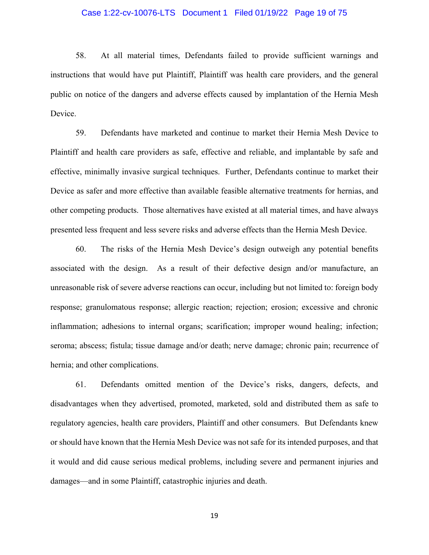# Case 1:22-cv-10076-LTS Document 1 Filed 01/19/22 Page 19 of 75

58. At all material times, Defendants failed to provide sufficient warnings and instructions that would have put Plaintiff, Plaintiff was health care providers, and the general public on notice of the dangers and adverse effects caused by implantation of the Hernia Mesh Device.

59. Defendants have marketed and continue to market their Hernia Mesh Device to Plaintiff and health care providers as safe, effective and reliable, and implantable by safe and effective, minimally invasive surgical techniques. Further, Defendants continue to market their Device as safer and more effective than available feasible alternative treatments for hernias, and other competing products. Those alternatives have existed at all material times, and have always presented less frequent and less severe risks and adverse effects than the Hernia Mesh Device.

60. The risks of the Hernia Mesh Device's design outweigh any potential benefits associated with the design. As a result of their defective design and/or manufacture, an unreasonable risk of severe adverse reactions can occur, including but not limited to: foreign body response; granulomatous response; allergic reaction; rejection; erosion; excessive and chronic inflammation; adhesions to internal organs; scarification; improper wound healing; infection; seroma; abscess; fistula; tissue damage and/or death; nerve damage; chronic pain; recurrence of hernia; and other complications.

61. Defendants omitted mention of the Device's risks, dangers, defects, and disadvantages when they advertised, promoted, marketed, sold and distributed them as safe to regulatory agencies, health care providers, Plaintiff and other consumers. But Defendants knew or should have known that the Hernia Mesh Device was not safe for its intended purposes, and that it would and did cause serious medical problems, including severe and permanent injuries and damages—and in some Plaintiff, catastrophic injuries and death.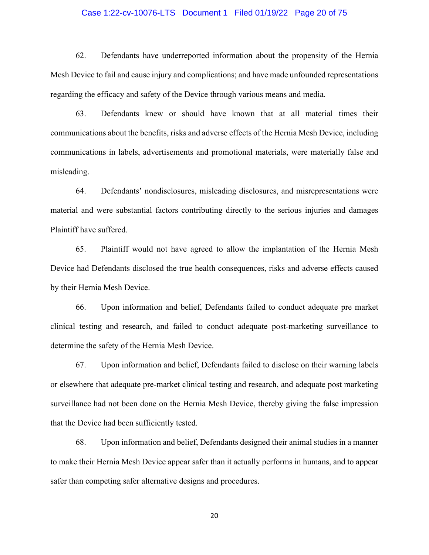# Case 1:22-cv-10076-LTS Document 1 Filed 01/19/22 Page 20 of 75

62. Defendants have underreported information about the propensity of the Hernia Mesh Device to fail and cause injury and complications; and have made unfounded representations regarding the efficacy and safety of the Device through various means and media.

63. Defendants knew or should have known that at all material times their communications about the benefits, risks and adverse effects of the Hernia Mesh Device, including communications in labels, advertisements and promotional materials, were materially false and misleading.

64. Defendants' nondisclosures, misleading disclosures, and misrepresentations were material and were substantial factors contributing directly to the serious injuries and damages Plaintiff have suffered.

65. Plaintiff would not have agreed to allow the implantation of the Hernia Mesh Device had Defendants disclosed the true health consequences, risks and adverse effects caused by their Hernia Mesh Device.

66. Upon information and belief, Defendants failed to conduct adequate pre market clinical testing and research, and failed to conduct adequate post-marketing surveillance to determine the safety of the Hernia Mesh Device.

67. Upon information and belief, Defendants failed to disclose on their warning labels or elsewhere that adequate pre-market clinical testing and research, and adequate post marketing surveillance had not been done on the Hernia Mesh Device, thereby giving the false impression that the Device had been sufficiently tested.

68. Upon information and belief, Defendants designed their animal studies in a manner to make their Hernia Mesh Device appear safer than it actually performs in humans, and to appear safer than competing safer alternative designs and procedures.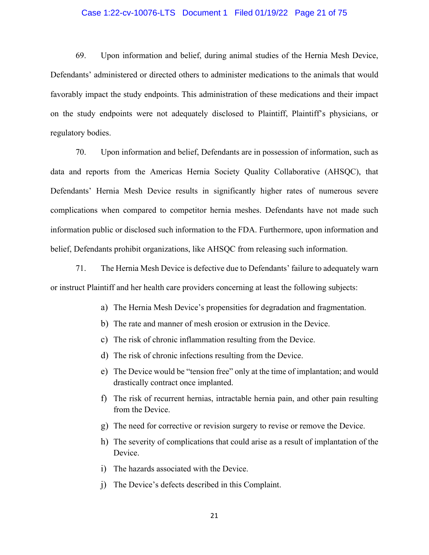# Case 1:22-cv-10076-LTS Document 1 Filed 01/19/22 Page 21 of 75

69. Upon information and belief, during animal studies of the Hernia Mesh Device, Defendants' administered or directed others to administer medications to the animals that would favorably impact the study endpoints. This administration of these medications and their impact on the study endpoints were not adequately disclosed to Plaintiff, Plaintiff's physicians, or regulatory bodies.

70. Upon information and belief, Defendants are in possession of information, such as data and reports from the Americas Hernia Society Quality Collaborative (AHSQC), that Defendants' Hernia Mesh Device results in significantly higher rates of numerous severe complications when compared to competitor hernia meshes. Defendants have not made such information public or disclosed such information to the FDA. Furthermore, upon information and belief, Defendants prohibit organizations, like AHSQC from releasing such information.

71. The Hernia Mesh Device is defective due to Defendants' failure to adequately warn or instruct Plaintiff and her health care providers concerning at least the following subjects:

- a) The Hernia Mesh Device's propensities for degradation and fragmentation.
- b) The rate and manner of mesh erosion or extrusion in the Device.
- c) The risk of chronic inflammation resulting from the Device.
- d) The risk of chronic infections resulting from the Device.
- e) The Device would be "tension free" only at the time of implantation; and would drastically contract once implanted.
- f) The risk of recurrent hernias, intractable hernia pain, and other pain resulting from the Device.
- g) The need for corrective or revision surgery to revise or remove the Device.
- h) The severity of complications that could arise as a result of implantation of the Device.
- i) The hazards associated with the Device.
- j) The Device's defects described in this Complaint.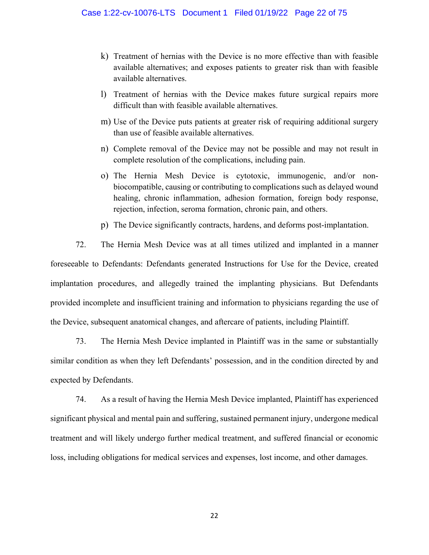- k) Treatment of hernias with the Device is no more effective than with feasible available alternatives; and exposes patients to greater risk than with feasible available alternatives.
- l) Treatment of hernias with the Device makes future surgical repairs more difficult than with feasible available alternatives.
- m) Use of the Device puts patients at greater risk of requiring additional surgery than use of feasible available alternatives.
- n) Complete removal of the Device may not be possible and may not result in complete resolution of the complications, including pain.
- o) The Hernia Mesh Device is cytotoxic, immunogenic, and/or nonbiocompatible, causing or contributing to complications such as delayed wound healing, chronic inflammation, adhesion formation, foreign body response, rejection, infection, seroma formation, chronic pain, and others.
- p) The Device significantly contracts, hardens, and deforms post-implantation.

72. The Hernia Mesh Device was at all times utilized and implanted in a manner foreseeable to Defendants: Defendants generated Instructions for Use for the Device, created implantation procedures, and allegedly trained the implanting physicians. But Defendants provided incomplete and insufficient training and information to physicians regarding the use of the Device, subsequent anatomical changes, and aftercare of patients, including Plaintiff.

73. The Hernia Mesh Device implanted in Plaintiff was in the same or substantially similar condition as when they left Defendants' possession, and in the condition directed by and expected by Defendants.

74. As a result of having the Hernia Mesh Device implanted, Plaintiff has experienced significant physical and mental pain and suffering, sustained permanent injury, undergone medical treatment and will likely undergo further medical treatment, and suffered financial or economic loss, including obligations for medical services and expenses, lost income, and other damages.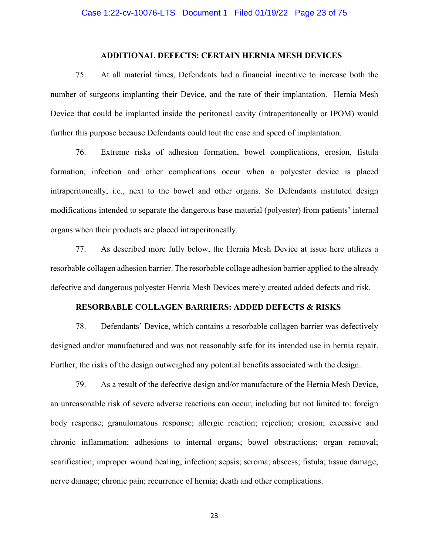# **ADDITIONAL DEFECTS: CERTAIN HERNIA MESH DEVICES**

75. At all material times, Defendants had a financial incentive to increase both the number of surgeons implanting their Device, and the rate of their implantation. Hernia Mesh Device that could be implanted inside the peritoneal cavity (intraperitoneally or IPOM) would further this purpose because Defendants could tout the ease and speed of implantation.

76. Extreme risks of adhesion formation, bowel complications, erosion, fistula formation, infection and other complications occur when a polyester device is placed intraperitoneally, i.e., next to the bowel and other organs. So Defendants instituted design modifications intended to separate the dangerous base material (polyester) from patients' internal organs when their products are placed intraperitoneally.

77. As described more fully below, the Hernia Mesh Device at issue here utilizes a resorbable collagen adhesion barrier. The resorbable collage adhesion barrier applied to the already defective and dangerous polyester Henria Mesh Devices merely created added defects and risk.

#### **RESORBABLE COLLAGEN BARRIERS: ADDED DEFECTS & RISKS**

78. Defendants' Device, which contains a resorbable collagen barrier was defectively designed and/or manufactured and was not reasonably safe for its intended use in hernia repair. Further, the risks of the design outweighed any potential benefits associated with the design.

79. As a result of the defective design and/or manufacture of the Hernia Mesh Device, an unreasonable risk of severe adverse reactions can occur, including but not limited to: foreign body response; granulomatous response; allergic reaction; rejection; erosion; excessive and chronic inflammation; adhesions to internal organs; bowel obstructions; organ removal; scarification; improper wound healing; infection; sepsis; seroma; abscess; fistula; tissue damage; nerve damage; chronic pain; recurrence of hernia; death and other complications.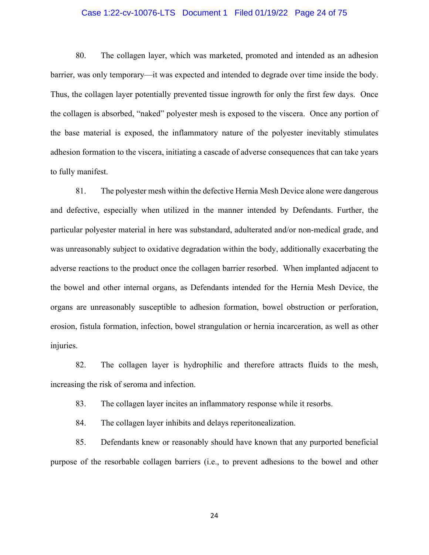# Case 1:22-cv-10076-LTS Document 1 Filed 01/19/22 Page 24 of 75

80. The collagen layer, which was marketed, promoted and intended as an adhesion barrier, was only temporary—it was expected and intended to degrade over time inside the body. Thus, the collagen layer potentially prevented tissue ingrowth for only the first few days. Once the collagen is absorbed, "naked" polyester mesh is exposed to the viscera. Once any portion of the base material is exposed, the inflammatory nature of the polyester inevitably stimulates adhesion formation to the viscera, initiating a cascade of adverse consequences that can take years to fully manifest.

81. The polyester mesh within the defective Hernia Mesh Device alone were dangerous and defective, especially when utilized in the manner intended by Defendants. Further, the particular polyester material in here was substandard, adulterated and/or non-medical grade, and was unreasonably subject to oxidative degradation within the body, additionally exacerbating the adverse reactions to the product once the collagen barrier resorbed. When implanted adjacent to the bowel and other internal organs, as Defendants intended for the Hernia Mesh Device, the organs are unreasonably susceptible to adhesion formation, bowel obstruction or perforation, erosion, fistula formation, infection, bowel strangulation or hernia incarceration, as well as other injuries.

82. The collagen layer is hydrophilic and therefore attracts fluids to the mesh, increasing the risk of seroma and infection.

83. The collagen layer incites an inflammatory response while it resorbs.

84. The collagen layer inhibits and delays reperitonealization.

85. Defendants knew or reasonably should have known that any purported beneficial purpose of the resorbable collagen barriers (i.e., to prevent adhesions to the bowel and other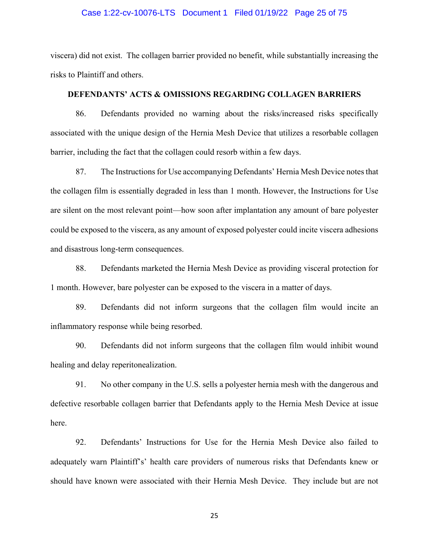### Case 1:22-cv-10076-LTS Document 1 Filed 01/19/22 Page 25 of 75

viscera) did not exist. The collagen barrier provided no benefit, while substantially increasing the risks to Plaintiff and others.

# **DEFENDANTS' ACTS & OMISSIONS REGARDING COLLAGEN BARRIERS**

86. Defendants provided no warning about the risks/increased risks specifically associated with the unique design of the Hernia Mesh Device that utilizes a resorbable collagen barrier, including the fact that the collagen could resorb within a few days.

87. The Instructions for Use accompanying Defendants' Hernia Mesh Device notes that the collagen film is essentially degraded in less than 1 month. However, the Instructions for Use are silent on the most relevant point—how soon after implantation any amount of bare polyester could be exposed to the viscera, as any amount of exposed polyester could incite viscera adhesions and disastrous long-term consequences.

88. Defendants marketed the Hernia Mesh Device as providing visceral protection for 1 month. However, bare polyester can be exposed to the viscera in a matter of days.

89. Defendants did not inform surgeons that the collagen film would incite an inflammatory response while being resorbed.

90. Defendants did not inform surgeons that the collagen film would inhibit wound healing and delay reperitonealization.

91. No other company in the U.S. sells a polyester hernia mesh with the dangerous and defective resorbable collagen barrier that Defendants apply to the Hernia Mesh Device at issue here.

92. Defendants' Instructions for Use for the Hernia Mesh Device also failed to adequately warn Plaintiff's' health care providers of numerous risks that Defendants knew or should have known were associated with their Hernia Mesh Device. They include but are not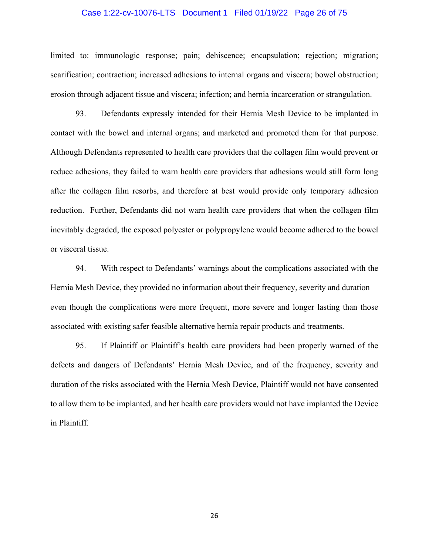# Case 1:22-cv-10076-LTS Document 1 Filed 01/19/22 Page 26 of 75

limited to: immunologic response; pain; dehiscence; encapsulation; rejection; migration; scarification; contraction; increased adhesions to internal organs and viscera; bowel obstruction; erosion through adjacent tissue and viscera; infection; and hernia incarceration or strangulation.

93. Defendants expressly intended for their Hernia Mesh Device to be implanted in contact with the bowel and internal organs; and marketed and promoted them for that purpose. Although Defendants represented to health care providers that the collagen film would prevent or reduce adhesions, they failed to warn health care providers that adhesions would still form long after the collagen film resorbs, and therefore at best would provide only temporary adhesion reduction. Further, Defendants did not warn health care providers that when the collagen film inevitably degraded, the exposed polyester or polypropylene would become adhered to the bowel or visceral tissue.

94. With respect to Defendants' warnings about the complications associated with the Hernia Mesh Device, they provided no information about their frequency, severity and duration even though the complications were more frequent, more severe and longer lasting than those associated with existing safer feasible alternative hernia repair products and treatments.

95. If Plaintiff or Plaintiff's health care providers had been properly warned of the defects and dangers of Defendants' Hernia Mesh Device, and of the frequency, severity and duration of the risks associated with the Hernia Mesh Device, Plaintiff would not have consented to allow them to be implanted, and her health care providers would not have implanted the Device in Plaintiff.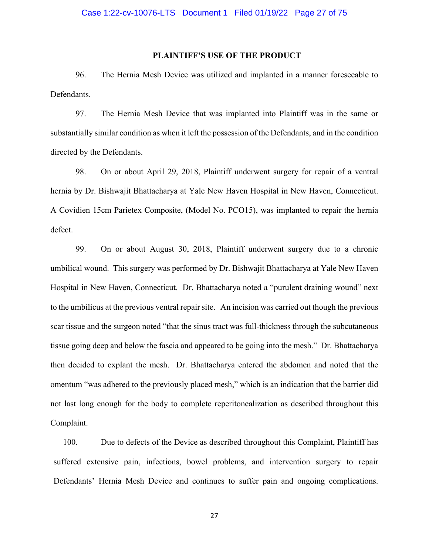#### **PLAINTIFF'S USE OF THE PRODUCT**

96. The Hernia Mesh Device was utilized and implanted in a manner foreseeable to Defendants.

97. The Hernia Mesh Device that was implanted into Plaintiff was in the same or substantially similar condition as when it left the possession of the Defendants, and in the condition directed by the Defendants.

98. On or about April 29, 2018, Plaintiff underwent surgery for repair of a ventral hernia by Dr. Bishwajit Bhattacharya at Yale New Haven Hospital in New Haven, Connecticut. A Covidien 15cm Parietex Composite, (Model No. PCO15), was implanted to repair the hernia defect.

99. On or about August 30, 2018, Plaintiff underwent surgery due to a chronic umbilical wound. This surgery was performed by Dr. Bishwajit Bhattacharya at Yale New Haven Hospital in New Haven, Connecticut. Dr. Bhattacharya noted a "purulent draining wound" next to the umbilicus at the previous ventral repair site. An incision was carried out though the previous scar tissue and the surgeon noted "that the sinus tract was full-thickness through the subcutaneous tissue going deep and below the fascia and appeared to be going into the mesh." Dr. Bhattacharya then decided to explant the mesh. Dr. Bhattacharya entered the abdomen and noted that the omentum "was adhered to the previously placed mesh," which is an indication that the barrier did not last long enough for the body to complete reperitonealization as described throughout this Complaint.

100. Due to defects of the Device as described throughout this Complaint, Plaintiff has suffered extensive pain, infections, bowel problems, and intervention surgery to repair Defendants' Hernia Mesh Device and continues to suffer pain and ongoing complications.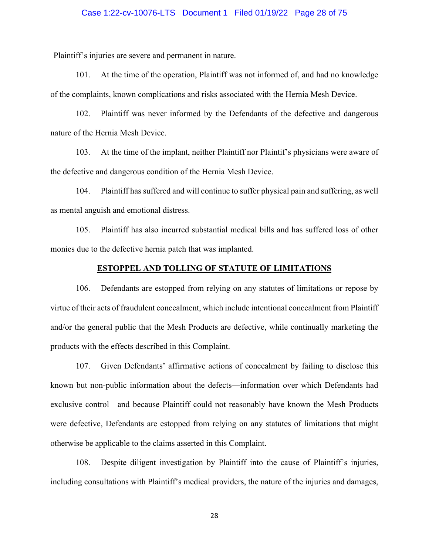# Case 1:22-cv-10076-LTS Document 1 Filed 01/19/22 Page 28 of 75

Plaintiff's injuries are severe and permanent in nature.

101. At the time of the operation, Plaintiff was not informed of, and had no knowledge of the complaints, known complications and risks associated with the Hernia Mesh Device.

102. Plaintiff was never informed by the Defendants of the defective and dangerous nature of the Hernia Mesh Device.

103. At the time of the implant, neither Plaintiff nor Plaintif's physicians were aware of the defective and dangerous condition of the Hernia Mesh Device.

104. Plaintiff has suffered and will continue to suffer physical pain and suffering, as well as mental anguish and emotional distress.

105. Plaintiff has also incurred substantial medical bills and has suffered loss of other monies due to the defective hernia patch that was implanted.

#### **ESTOPPEL AND TOLLING OF STATUTE OF LIMITATIONS**

106. Defendants are estopped from relying on any statutes of limitations or repose by virtue of their acts of fraudulent concealment, which include intentional concealment from Plaintiff and/or the general public that the Mesh Products are defective, while continually marketing the products with the effects described in this Complaint.

107. Given Defendants' affirmative actions of concealment by failing to disclose this known but non-public information about the defects—information over which Defendants had exclusive control—and because Plaintiff could not reasonably have known the Mesh Products were defective, Defendants are estopped from relying on any statutes of limitations that might otherwise be applicable to the claims asserted in this Complaint.

108. Despite diligent investigation by Plaintiff into the cause of Plaintiff's injuries, including consultations with Plaintiff's medical providers, the nature of the injuries and damages,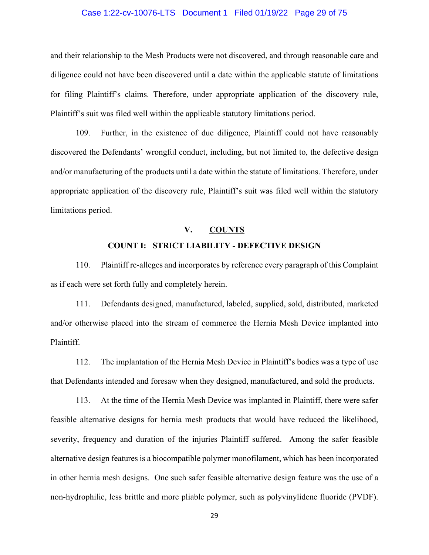# Case 1:22-cv-10076-LTS Document 1 Filed 01/19/22 Page 29 of 75

and their relationship to the Mesh Products were not discovered, and through reasonable care and diligence could not have been discovered until a date within the applicable statute of limitations for filing Plaintiff's claims. Therefore, under appropriate application of the discovery rule, Plaintiff's suit was filed well within the applicable statutory limitations period.

109. Further, in the existence of due diligence, Plaintiff could not have reasonably discovered the Defendants' wrongful conduct, including, but not limited to, the defective design and/or manufacturing of the products until a date within the statute of limitations. Therefore, under appropriate application of the discovery rule, Plaintiff's suit was filed well within the statutory limitations period.

# **V. COUNTS COUNT I: STRICT LIABILITY - DEFECTIVE DESIGN**

110. Plaintiff re-alleges and incorporates by reference every paragraph of this Complaint as if each were set forth fully and completely herein.

111. Defendants designed, manufactured, labeled, supplied, sold, distributed, marketed and/or otherwise placed into the stream of commerce the Hernia Mesh Device implanted into Plaintiff.

112. The implantation of the Hernia Mesh Device in Plaintiff's bodies was a type of use that Defendants intended and foresaw when they designed, manufactured, and sold the products.

113. At the time of the Hernia Mesh Device was implanted in Plaintiff, there were safer feasible alternative designs for hernia mesh products that would have reduced the likelihood, severity, frequency and duration of the injuries Plaintiff suffered. Among the safer feasible alternative design features is a biocompatible polymer monofilament, which has been incorporated in other hernia mesh designs. One such safer feasible alternative design feature was the use of a non-hydrophilic, less brittle and more pliable polymer, such as polyvinylidene fluoride (PVDF).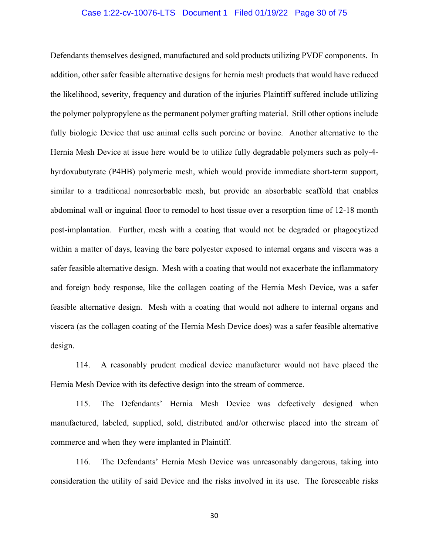# Case 1:22-cv-10076-LTS Document 1 Filed 01/19/22 Page 30 of 75

Defendants themselves designed, manufactured and sold products utilizing PVDF components. In addition, other safer feasible alternative designs for hernia mesh products that would have reduced the likelihood, severity, frequency and duration of the injuries Plaintiff suffered include utilizing the polymer polypropylene as the permanent polymer grafting material. Still other options include fully biologic Device that use animal cells such porcine or bovine. Another alternative to the Hernia Mesh Device at issue here would be to utilize fully degradable polymers such as poly-4 hyrdoxubutyrate (P4HB) polymeric mesh, which would provide immediate short-term support, similar to a traditional nonresorbable mesh, but provide an absorbable scaffold that enables abdominal wall or inguinal floor to remodel to host tissue over a resorption time of 12-18 month post-implantation. Further, mesh with a coating that would not be degraded or phagocytized within a matter of days, leaving the bare polyester exposed to internal organs and viscera was a safer feasible alternative design. Mesh with a coating that would not exacerbate the inflammatory and foreign body response, like the collagen coating of the Hernia Mesh Device, was a safer feasible alternative design. Mesh with a coating that would not adhere to internal organs and viscera (as the collagen coating of the Hernia Mesh Device does) was a safer feasible alternative design.

114. A reasonably prudent medical device manufacturer would not have placed the Hernia Mesh Device with its defective design into the stream of commerce.

115. The Defendants' Hernia Mesh Device was defectively designed when manufactured, labeled, supplied, sold, distributed and/or otherwise placed into the stream of commerce and when they were implanted in Plaintiff.

116. The Defendants' Hernia Mesh Device was unreasonably dangerous, taking into consideration the utility of said Device and the risks involved in its use. The foreseeable risks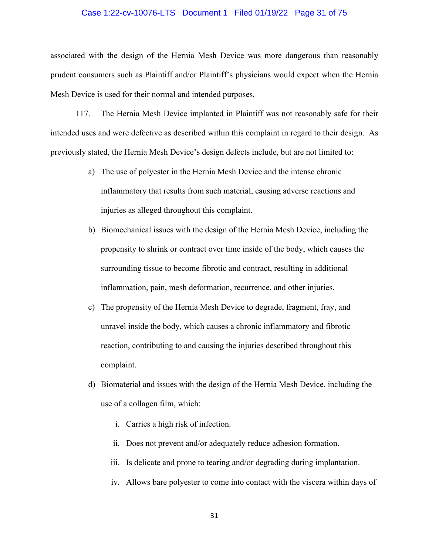# Case 1:22-cv-10076-LTS Document 1 Filed 01/19/22 Page 31 of 75

associated with the design of the Hernia Mesh Device was more dangerous than reasonably prudent consumers such as Plaintiff and/or Plaintiff's physicians would expect when the Hernia Mesh Device is used for their normal and intended purposes.

117. The Hernia Mesh Device implanted in Plaintiff was not reasonably safe for their intended uses and were defective as described within this complaint in regard to their design. As previously stated, the Hernia Mesh Device's design defects include, but are not limited to:

- a) The use of polyester in the Hernia Mesh Device and the intense chronic inflammatory that results from such material, causing adverse reactions and injuries as alleged throughout this complaint.
- b) Biomechanical issues with the design of the Hernia Mesh Device, including the propensity to shrink or contract over time inside of the body, which causes the surrounding tissue to become fibrotic and contract, resulting in additional inflammation, pain, mesh deformation, recurrence, and other injuries.
- c) The propensity of the Hernia Mesh Device to degrade, fragment, fray, and unravel inside the body, which causes a chronic inflammatory and fibrotic reaction, contributing to and causing the injuries described throughout this complaint.
- d) Biomaterial and issues with the design of the Hernia Mesh Device, including the use of a collagen film, which:
	- i. Carries a high risk of infection.
	- ii. Does not prevent and/or adequately reduce adhesion formation.
	- iii. Is delicate and prone to tearing and/or degrading during implantation.
	- iv. Allows bare polyester to come into contact with the viscera within days of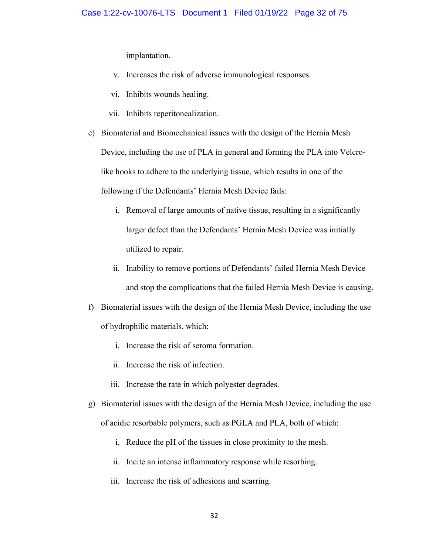implantation.

- v. Increases the risk of adverse immunological responses.
- vi. Inhibits wounds healing.
- vii. Inhibits reperitonealization.
- e) Biomaterial and Biomechanical issues with the design of the Hernia Mesh Device, including the use of PLA in general and forming the PLA into Velcrolike hooks to adhere to the underlying tissue, which results in one of the following if the Defendants' Hernia Mesh Device fails:
	- i. Removal of large amounts of native tissue, resulting in a significantly larger defect than the Defendants' Hernia Mesh Device was initially utilized to repair.
	- ii. Inability to remove portions of Defendants' failed Hernia Mesh Device and stop the complications that the failed Hernia Mesh Device is causing.
- f) Biomaterial issues with the design of the Hernia Mesh Device, including the use of hydrophilic materials, which:
	- i. Increase the risk of seroma formation.
	- ii. Increase the risk of infection.
	- iii. Increase the rate in which polyester degrades.
- g) Biomaterial issues with the design of the Hernia Mesh Device, including the use of acidic resorbable polymers, such as PGLA and PLA, both of which:
	- i. Reduce the pH of the tissues in close proximity to the mesh.
	- ii. Incite an intense inflammatory response while resorbing.
	- iii. Increase the risk of adhesions and scarring.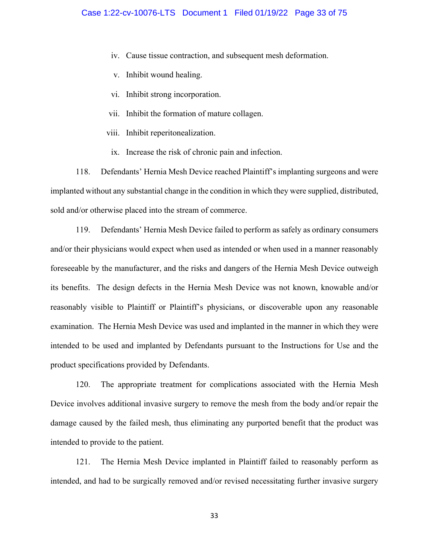- iv. Cause tissue contraction, and subsequent mesh deformation.
- v. Inhibit wound healing.
- vi. Inhibit strong incorporation.
- vii. Inhibit the formation of mature collagen.
- viii. Inhibit reperitonealization.
	- ix. Increase the risk of chronic pain and infection.

118. Defendants' Hernia Mesh Device reached Plaintiff's implanting surgeons and were implanted without any substantial change in the condition in which they were supplied, distributed, sold and/or otherwise placed into the stream of commerce.

119. Defendants' Hernia Mesh Device failed to perform as safely as ordinary consumers and/or their physicians would expect when used as intended or when used in a manner reasonably foreseeable by the manufacturer, and the risks and dangers of the Hernia Mesh Device outweigh its benefits. The design defects in the Hernia Mesh Device was not known, knowable and/or reasonably visible to Plaintiff or Plaintiff's physicians, or discoverable upon any reasonable examination. The Hernia Mesh Device was used and implanted in the manner in which they were intended to be used and implanted by Defendants pursuant to the Instructions for Use and the product specifications provided by Defendants.

120. The appropriate treatment for complications associated with the Hernia Mesh Device involves additional invasive surgery to remove the mesh from the body and/or repair the damage caused by the failed mesh, thus eliminating any purported benefit that the product was intended to provide to the patient.

121. The Hernia Mesh Device implanted in Plaintiff failed to reasonably perform as intended, and had to be surgically removed and/or revised necessitating further invasive surgery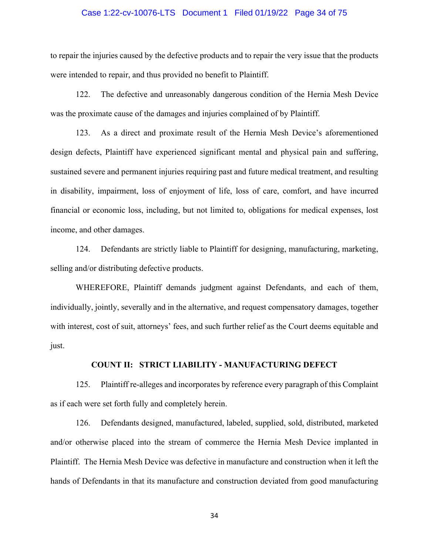# Case 1:22-cv-10076-LTS Document 1 Filed 01/19/22 Page 34 of 75

to repair the injuries caused by the defective products and to repair the very issue that the products were intended to repair, and thus provided no benefit to Plaintiff.

122. The defective and unreasonably dangerous condition of the Hernia Mesh Device was the proximate cause of the damages and injuries complained of by Plaintiff.

123. As a direct and proximate result of the Hernia Mesh Device's aforementioned design defects, Plaintiff have experienced significant mental and physical pain and suffering, sustained severe and permanent injuries requiring past and future medical treatment, and resulting in disability, impairment, loss of enjoyment of life, loss of care, comfort, and have incurred financial or economic loss, including, but not limited to, obligations for medical expenses, lost income, and other damages.

124. Defendants are strictly liable to Plaintiff for designing, manufacturing, marketing, selling and/or distributing defective products.

WHEREFORE, Plaintiff demands judgment against Defendants, and each of them, individually, jointly, severally and in the alternative, and request compensatory damages, together with interest, cost of suit, attorneys' fees, and such further relief as the Court deems equitable and just.

# **COUNT II: STRICT LIABILITY - MANUFACTURING DEFECT**

125. Plaintiff re-alleges and incorporates by reference every paragraph of this Complaint as if each were set forth fully and completely herein.

126. Defendants designed, manufactured, labeled, supplied, sold, distributed, marketed and/or otherwise placed into the stream of commerce the Hernia Mesh Device implanted in Plaintiff. The Hernia Mesh Device was defective in manufacture and construction when it left the hands of Defendants in that its manufacture and construction deviated from good manufacturing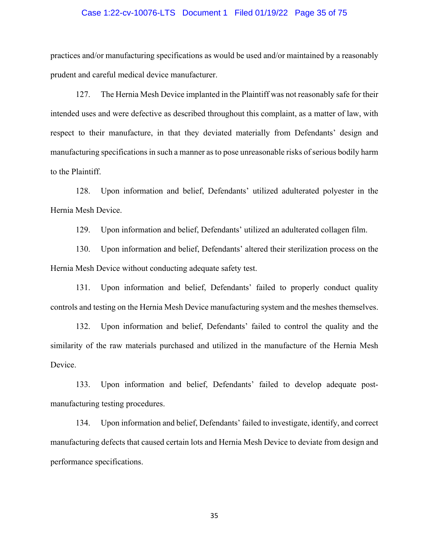# Case 1:22-cv-10076-LTS Document 1 Filed 01/19/22 Page 35 of 75

practices and/or manufacturing specifications as would be used and/or maintained by a reasonably prudent and careful medical device manufacturer.

127. The Hernia Mesh Device implanted in the Plaintiff was not reasonably safe for their intended uses and were defective as described throughout this complaint, as a matter of law, with respect to their manufacture, in that they deviated materially from Defendants' design and manufacturing specifications in such a manner as to pose unreasonable risks of serious bodily harm to the Plaintiff.

128. Upon information and belief, Defendants' utilized adulterated polyester in the Hernia Mesh Device.

129. Upon information and belief, Defendants' utilized an adulterated collagen film.

130. Upon information and belief, Defendants' altered their sterilization process on the Hernia Mesh Device without conducting adequate safety test.

131. Upon information and belief, Defendants' failed to properly conduct quality controls and testing on the Hernia Mesh Device manufacturing system and the meshes themselves.

132. Upon information and belief, Defendants' failed to control the quality and the similarity of the raw materials purchased and utilized in the manufacture of the Hernia Mesh Device.

133. Upon information and belief, Defendants' failed to develop adequate postmanufacturing testing procedures.

134. Upon information and belief, Defendants' failed to investigate, identify, and correct manufacturing defects that caused certain lots and Hernia Mesh Device to deviate from design and performance specifications.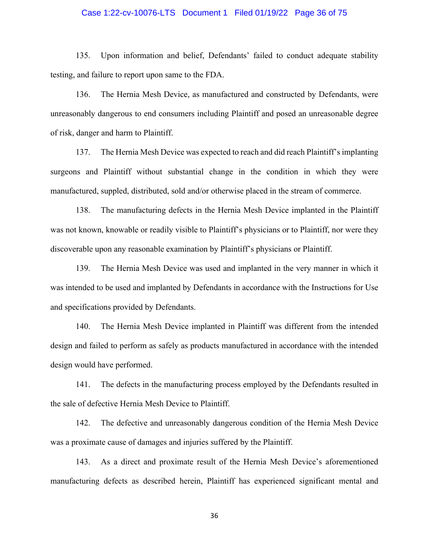# Case 1:22-cv-10076-LTS Document 1 Filed 01/19/22 Page 36 of 75

135. Upon information and belief, Defendants' failed to conduct adequate stability testing, and failure to report upon same to the FDA.

136. The Hernia Mesh Device, as manufactured and constructed by Defendants, were unreasonably dangerous to end consumers including Plaintiff and posed an unreasonable degree of risk, danger and harm to Plaintiff.

137. The Hernia Mesh Device was expected to reach and did reach Plaintiff's implanting surgeons and Plaintiff without substantial change in the condition in which they were manufactured, suppled, distributed, sold and/or otherwise placed in the stream of commerce.

138. The manufacturing defects in the Hernia Mesh Device implanted in the Plaintiff was not known, knowable or readily visible to Plaintiff's physicians or to Plaintiff, nor were they discoverable upon any reasonable examination by Plaintiff's physicians or Plaintiff.

139. The Hernia Mesh Device was used and implanted in the very manner in which it was intended to be used and implanted by Defendants in accordance with the Instructions for Use and specifications provided by Defendants.

140. The Hernia Mesh Device implanted in Plaintiff was different from the intended design and failed to perform as safely as products manufactured in accordance with the intended design would have performed.

141. The defects in the manufacturing process employed by the Defendants resulted in the sale of defective Hernia Mesh Device to Plaintiff.

142. The defective and unreasonably dangerous condition of the Hernia Mesh Device was a proximate cause of damages and injuries suffered by the Plaintiff.

143. As a direct and proximate result of the Hernia Mesh Device's aforementioned manufacturing defects as described herein, Plaintiff has experienced significant mental and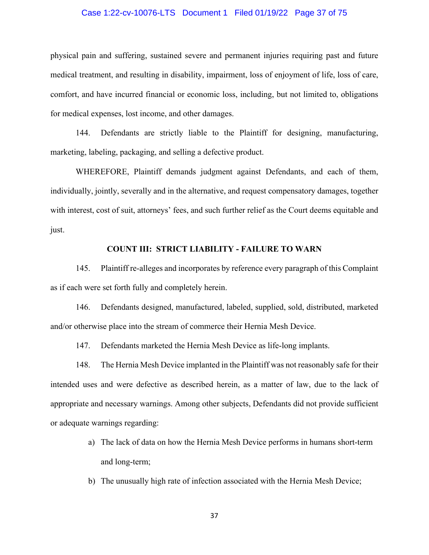# Case 1:22-cv-10076-LTS Document 1 Filed 01/19/22 Page 37 of 75

physical pain and suffering, sustained severe and permanent injuries requiring past and future medical treatment, and resulting in disability, impairment, loss of enjoyment of life, loss of care, comfort, and have incurred financial or economic loss, including, but not limited to, obligations for medical expenses, lost income, and other damages.

144. Defendants are strictly liable to the Plaintiff for designing, manufacturing, marketing, labeling, packaging, and selling a defective product.

WHEREFORE, Plaintiff demands judgment against Defendants, and each of them, individually, jointly, severally and in the alternative, and request compensatory damages, together with interest, cost of suit, attorneys' fees, and such further relief as the Court deems equitable and just.

#### **COUNT III: STRICT LIABILITY - FAILURE TO WARN**

145. Plaintiff re-alleges and incorporates by reference every paragraph of this Complaint as if each were set forth fully and completely herein.

146. Defendants designed, manufactured, labeled, supplied, sold, distributed, marketed and/or otherwise place into the stream of commerce their Hernia Mesh Device.

147. Defendants marketed the Hernia Mesh Device as life-long implants.

148. The Hernia Mesh Device implanted in the Plaintiff was not reasonably safe for their intended uses and were defective as described herein, as a matter of law, due to the lack of appropriate and necessary warnings. Among other subjects, Defendants did not provide sufficient or adequate warnings regarding:

- a) The lack of data on how the Hernia Mesh Device performs in humans short-term and long-term;
- b) The unusually high rate of infection associated with the Hernia Mesh Device;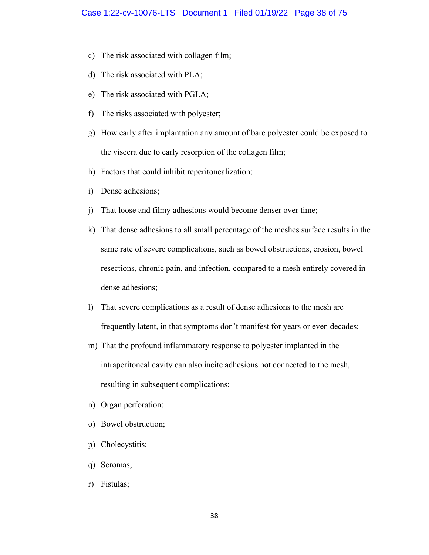- c) The risk associated with collagen film;
- d) The risk associated with PLA;
- e) The risk associated with PGLA;
- f) The risks associated with polyester;
- g) How early after implantation any amount of bare polyester could be exposed to the viscera due to early resorption of the collagen film;
- h) Factors that could inhibit reperitonealization;
- i) Dense adhesions;
- j) That loose and filmy adhesions would become denser over time;
- k) That dense adhesions to all small percentage of the meshes surface results in the same rate of severe complications, such as bowel obstructions, erosion, bowel resections, chronic pain, and infection, compared to a mesh entirely covered in dense adhesions;
- l) That severe complications as a result of dense adhesions to the mesh are frequently latent, in that symptoms don't manifest for years or even decades;
- m) That the profound inflammatory response to polyester implanted in the intraperitoneal cavity can also incite adhesions not connected to the mesh, resulting in subsequent complications;
- n) Organ perforation;
- o) Bowel obstruction;
- p) Cholecystitis;
- q) Seromas;
- r) Fistulas;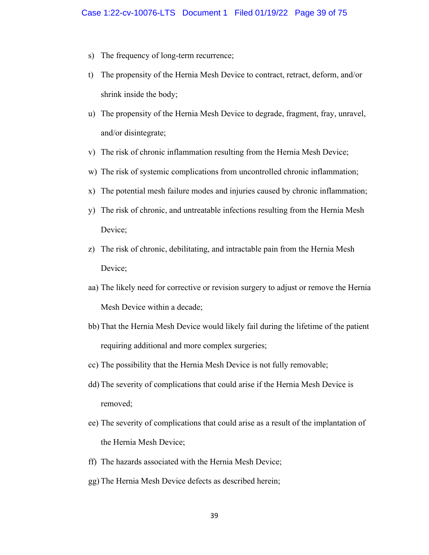- s) The frequency of long-term recurrence;
- t) The propensity of the Hernia Mesh Device to contract, retract, deform, and/or shrink inside the body;
- u) The propensity of the Hernia Mesh Device to degrade, fragment, fray, unravel, and/or disintegrate;
- v) The risk of chronic inflammation resulting from the Hernia Mesh Device;
- w) The risk of systemic complications from uncontrolled chronic inflammation;
- x) The potential mesh failure modes and injuries caused by chronic inflammation;
- y) The risk of chronic, and untreatable infections resulting from the Hernia Mesh Device;
- z) The risk of chronic, debilitating, and intractable pain from the Hernia Mesh Device;
- aa) The likely need for corrective or revision surgery to adjust or remove the Hernia Mesh Device within a decade;
- bb) That the Hernia Mesh Device would likely fail during the lifetime of the patient requiring additional and more complex surgeries;
- cc) The possibility that the Hernia Mesh Device is not fully removable;
- dd) The severity of complications that could arise if the Hernia Mesh Device is removed;
- ee) The severity of complications that could arise as a result of the implantation of the Hernia Mesh Device;
- ff) The hazards associated with the Hernia Mesh Device;
- gg) The Hernia Mesh Device defects as described herein;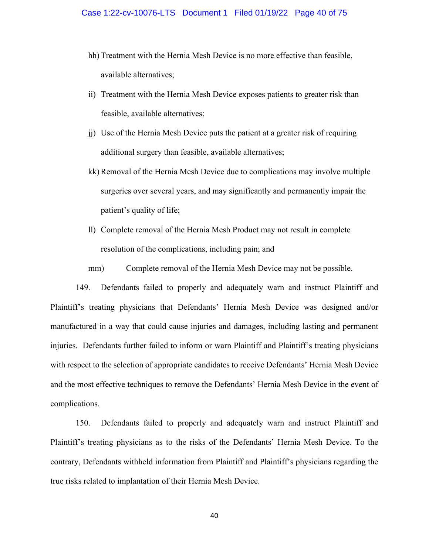- hh) Treatment with the Hernia Mesh Device is no more effective than feasible, available alternatives;
- ii) Treatment with the Hernia Mesh Device exposes patients to greater risk than feasible, available alternatives;
- jj) Use of the Hernia Mesh Device puts the patient at a greater risk of requiring additional surgery than feasible, available alternatives;
- kk) Removal of the Hernia Mesh Device due to complications may involve multiple surgeries over several years, and may significantly and permanently impair the patient's quality of life;
- ll) Complete removal of the Hernia Mesh Product may not result in complete resolution of the complications, including pain; and
- mm) Complete removal of the Hernia Mesh Device may not be possible.

149. Defendants failed to properly and adequately warn and instruct Plaintiff and Plaintiff's treating physicians that Defendants' Hernia Mesh Device was designed and/or manufactured in a way that could cause injuries and damages, including lasting and permanent injuries. Defendants further failed to inform or warn Plaintiff and Plaintiff's treating physicians with respect to the selection of appropriate candidates to receive Defendants' Hernia Mesh Device and the most effective techniques to remove the Defendants' Hernia Mesh Device in the event of complications.

150. Defendants failed to properly and adequately warn and instruct Plaintiff and Plaintiff's treating physicians as to the risks of the Defendants' Hernia Mesh Device. To the contrary, Defendants withheld information from Plaintiff and Plaintiff's physicians regarding the true risks related to implantation of their Hernia Mesh Device.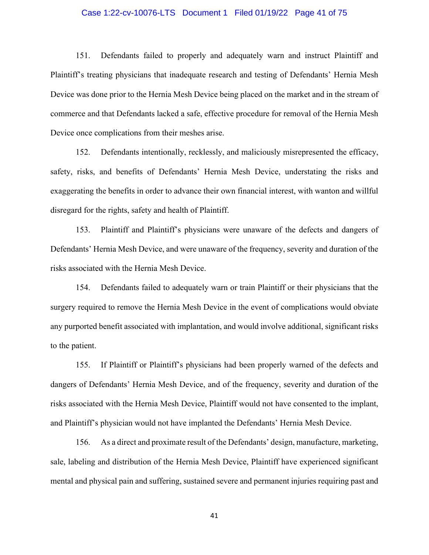# Case 1:22-cv-10076-LTS Document 1 Filed 01/19/22 Page 41 of 75

151. Defendants failed to properly and adequately warn and instruct Plaintiff and Plaintiff's treating physicians that inadequate research and testing of Defendants' Hernia Mesh Device was done prior to the Hernia Mesh Device being placed on the market and in the stream of commerce and that Defendants lacked a safe, effective procedure for removal of the Hernia Mesh Device once complications from their meshes arise.

152. Defendants intentionally, recklessly, and maliciously misrepresented the efficacy, safety, risks, and benefits of Defendants' Hernia Mesh Device, understating the risks and exaggerating the benefits in order to advance their own financial interest, with wanton and willful disregard for the rights, safety and health of Plaintiff.

153. Plaintiff and Plaintiff's physicians were unaware of the defects and dangers of Defendants' Hernia Mesh Device, and were unaware of the frequency, severity and duration of the risks associated with the Hernia Mesh Device.

154. Defendants failed to adequately warn or train Plaintiff or their physicians that the surgery required to remove the Hernia Mesh Device in the event of complications would obviate any purported benefit associated with implantation, and would involve additional, significant risks to the patient.

155. If Plaintiff or Plaintiff's physicians had been properly warned of the defects and dangers of Defendants' Hernia Mesh Device, and of the frequency, severity and duration of the risks associated with the Hernia Mesh Device, Plaintiff would not have consented to the implant, and Plaintiff's physician would not have implanted the Defendants' Hernia Mesh Device.

156. As a direct and proximate result of the Defendants' design, manufacture, marketing, sale, labeling and distribution of the Hernia Mesh Device, Plaintiff have experienced significant mental and physical pain and suffering, sustained severe and permanent injuries requiring past and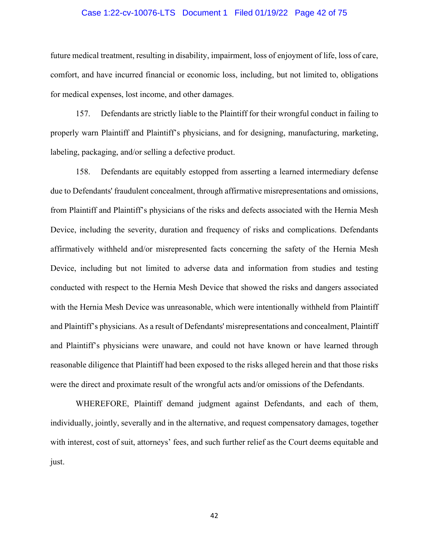# Case 1:22-cv-10076-LTS Document 1 Filed 01/19/22 Page 42 of 75

future medical treatment, resulting in disability, impairment, loss of enjoyment of life, loss of care, comfort, and have incurred financial or economic loss, including, but not limited to, obligations for medical expenses, lost income, and other damages.

157. Defendants are strictly liable to the Plaintiff for their wrongful conduct in failing to properly warn Plaintiff and Plaintiff's physicians, and for designing, manufacturing, marketing, labeling, packaging, and/or selling a defective product.

158. Defendants are equitably estopped from asserting a learned intermediary defense due to Defendants' fraudulent concealment, through affirmative misrepresentations and omissions, from Plaintiff and Plaintiff's physicians of the risks and defects associated with the Hernia Mesh Device, including the severity, duration and frequency of risks and complications. Defendants affirmatively withheld and/or misrepresented facts concerning the safety of the Hernia Mesh Device, including but not limited to adverse data and information from studies and testing conducted with respect to the Hernia Mesh Device that showed the risks and dangers associated with the Hernia Mesh Device was unreasonable, which were intentionally withheld from Plaintiff and Plaintiff's physicians. As a result of Defendants' misrepresentations and concealment, Plaintiff and Plaintiff's physicians were unaware, and could not have known or have learned through reasonable diligence that Plaintiff had been exposed to the risks alleged herein and that those risks were the direct and proximate result of the wrongful acts and/or omissions of the Defendants.

WHEREFORE, Plaintiff demand judgment against Defendants, and each of them, individually, jointly, severally and in the alternative, and request compensatory damages, together with interest, cost of suit, attorneys' fees, and such further relief as the Court deems equitable and just.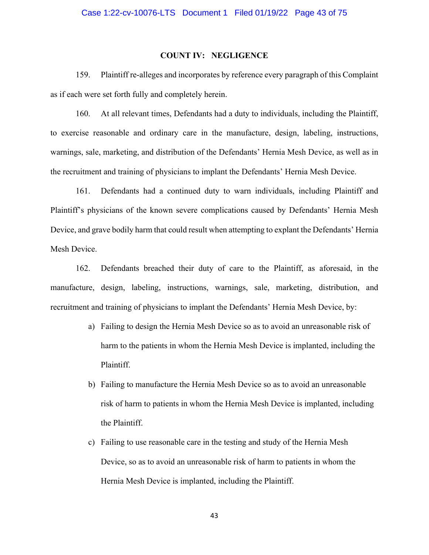# Case 1:22-cv-10076-LTS Document 1 Filed 01/19/22 Page 43 of 75

#### **COUNT IV: NEGLIGENCE**

159. Plaintiff re-alleges and incorporates by reference every paragraph of this Complaint as if each were set forth fully and completely herein.

160. At all relevant times, Defendants had a duty to individuals, including the Plaintiff, to exercise reasonable and ordinary care in the manufacture, design, labeling, instructions, warnings, sale, marketing, and distribution of the Defendants' Hernia Mesh Device, as well as in the recruitment and training of physicians to implant the Defendants' Hernia Mesh Device.

161. Defendants had a continued duty to warn individuals, including Plaintiff and Plaintiff's physicians of the known severe complications caused by Defendants' Hernia Mesh Device, and grave bodily harm that could result when attempting to explant the Defendants' Hernia Mesh Device.

162. Defendants breached their duty of care to the Plaintiff, as aforesaid, in the manufacture, design, labeling, instructions, warnings, sale, marketing, distribution, and recruitment and training of physicians to implant the Defendants' Hernia Mesh Device, by:

- a) Failing to design the Hernia Mesh Device so as to avoid an unreasonable risk of harm to the patients in whom the Hernia Mesh Device is implanted, including the Plaintiff.
- b) Failing to manufacture the Hernia Mesh Device so as to avoid an unreasonable risk of harm to patients in whom the Hernia Mesh Device is implanted, including the Plaintiff.
- c) Failing to use reasonable care in the testing and study of the Hernia Mesh Device, so as to avoid an unreasonable risk of harm to patients in whom the Hernia Mesh Device is implanted, including the Plaintiff.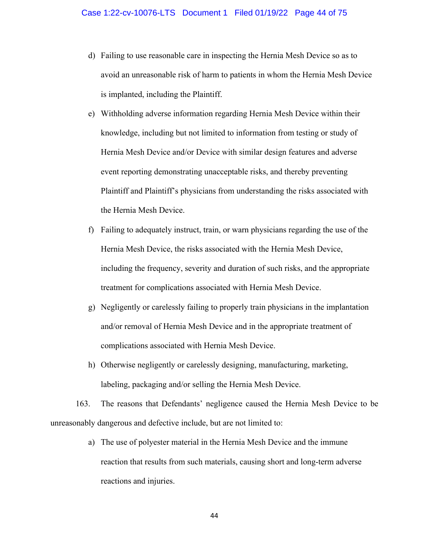- d) Failing to use reasonable care in inspecting the Hernia Mesh Device so as to avoid an unreasonable risk of harm to patients in whom the Hernia Mesh Device is implanted, including the Plaintiff.
- e) Withholding adverse information regarding Hernia Mesh Device within their knowledge, including but not limited to information from testing or study of Hernia Mesh Device and/or Device with similar design features and adverse event reporting demonstrating unacceptable risks, and thereby preventing Plaintiff and Plaintiff's physicians from understanding the risks associated with the Hernia Mesh Device.
- f) Failing to adequately instruct, train, or warn physicians regarding the use of the Hernia Mesh Device, the risks associated with the Hernia Mesh Device, including the frequency, severity and duration of such risks, and the appropriate treatment for complications associated with Hernia Mesh Device.
- g) Negligently or carelessly failing to properly train physicians in the implantation and/or removal of Hernia Mesh Device and in the appropriate treatment of complications associated with Hernia Mesh Device.
- h) Otherwise negligently or carelessly designing, manufacturing, marketing, labeling, packaging and/or selling the Hernia Mesh Device.

163. The reasons that Defendants' negligence caused the Hernia Mesh Device to be unreasonably dangerous and defective include, but are not limited to:

> a) The use of polyester material in the Hernia Mesh Device and the immune reaction that results from such materials, causing short and long-term adverse reactions and injuries.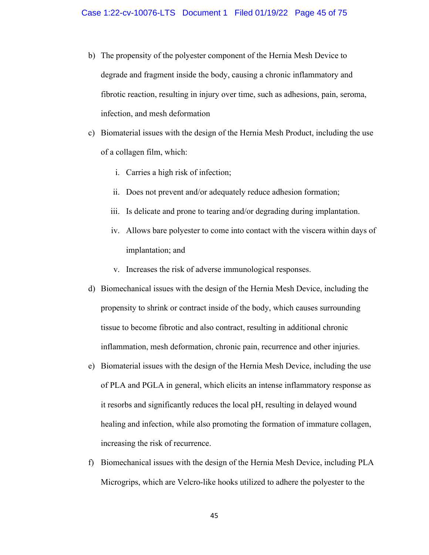- b) The propensity of the polyester component of the Hernia Mesh Device to degrade and fragment inside the body, causing a chronic inflammatory and fibrotic reaction, resulting in injury over time, such as adhesions, pain, seroma, infection, and mesh deformation
- c) Biomaterial issues with the design of the Hernia Mesh Product, including the use of a collagen film, which:
	- i. Carries a high risk of infection;
	- ii. Does not prevent and/or adequately reduce adhesion formation;
	- iii. Is delicate and prone to tearing and/or degrading during implantation.
	- iv. Allows bare polyester to come into contact with the viscera within days of implantation; and
	- v. Increases the risk of adverse immunological responses.
- d) Biomechanical issues with the design of the Hernia Mesh Device, including the propensity to shrink or contract inside of the body, which causes surrounding tissue to become fibrotic and also contract, resulting in additional chronic inflammation, mesh deformation, chronic pain, recurrence and other injuries.
- e) Biomaterial issues with the design of the Hernia Mesh Device, including the use of PLA and PGLA in general, which elicits an intense inflammatory response as it resorbs and significantly reduces the local pH, resulting in delayed wound healing and infection, while also promoting the formation of immature collagen, increasing the risk of recurrence.
- f) Biomechanical issues with the design of the Hernia Mesh Device, including PLA Microgrips, which are Velcro-like hooks utilized to adhere the polyester to the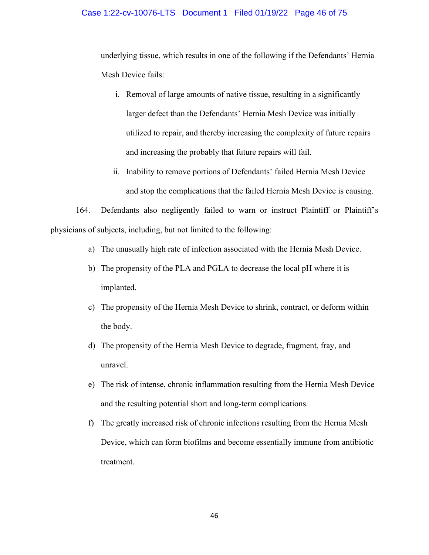# Case 1:22-cv-10076-LTS Document 1 Filed 01/19/22 Page 46 of 75

underlying tissue, which results in one of the following if the Defendants' Hernia Mesh Device fails:

- i. Removal of large amounts of native tissue, resulting in a significantly larger defect than the Defendants' Hernia Mesh Device was initially utilized to repair, and thereby increasing the complexity of future repairs and increasing the probably that future repairs will fail.
- ii. Inability to remove portions of Defendants' failed Hernia Mesh Device and stop the complications that the failed Hernia Mesh Device is causing.

164. Defendants also negligently failed to warn or instruct Plaintiff or Plaintiff's physicians of subjects, including, but not limited to the following:

- a) The unusually high rate of infection associated with the Hernia Mesh Device.
- b) The propensity of the PLA and PGLA to decrease the local pH where it is implanted.
- c) The propensity of the Hernia Mesh Device to shrink, contract, or deform within the body.
- d) The propensity of the Hernia Mesh Device to degrade, fragment, fray, and unravel.
- e) The risk of intense, chronic inflammation resulting from the Hernia Mesh Device and the resulting potential short and long-term complications.
- f) The greatly increased risk of chronic infections resulting from the Hernia Mesh Device, which can form biofilms and become essentially immune from antibiotic treatment.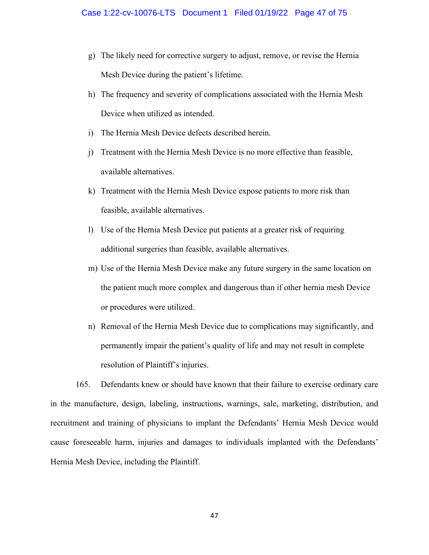- g) The likely need for corrective surgery to adjust, remove, or revise the Hernia Mesh Device during the patient's lifetime.
- h) The frequency and severity of complications associated with the Hernia Mesh Device when utilized as intended.
- i) The Hernia Mesh Device defects described herein.
- j) Treatment with the Hernia Mesh Device is no more effective than feasible, available alternatives.
- k) Treatment with the Hernia Mesh Device expose patients to more risk than feasible, available alternatives.
- l) Use of the Hernia Mesh Device put patients at a greater risk of requiring additional surgeries than feasible, available alternatives.
- m) Use of the Hernia Mesh Device make any future surgery in the same location on the patient much more complex and dangerous than if other hernia mesh Device or procedures were utilized.
- n) Removal of the Hernia Mesh Device due to complications may significantly, and permanently impair the patient's quality of life and may not result in complete resolution of Plaintiff's injuries.

165. Defendants knew or should have known that their failure to exercise ordinary care in the manufacture, design, labeling, instructions, warnings, sale, marketing, distribution, and recruitment and training of physicians to implant the Defendants' Hernia Mesh Device would cause foreseeable harm, injuries and damages to individuals implanted with the Defendants' Hernia Mesh Device, including the Plaintiff.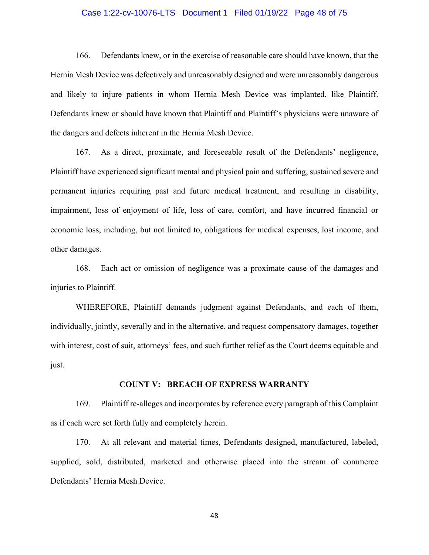# Case 1:22-cv-10076-LTS Document 1 Filed 01/19/22 Page 48 of 75

166. Defendants knew, or in the exercise of reasonable care should have known, that the Hernia Mesh Device was defectively and unreasonably designed and were unreasonably dangerous and likely to injure patients in whom Hernia Mesh Device was implanted, like Plaintiff. Defendants knew or should have known that Plaintiff and Plaintiff's physicians were unaware of the dangers and defects inherent in the Hernia Mesh Device.

167. As a direct, proximate, and foreseeable result of the Defendants' negligence, Plaintiff have experienced significant mental and physical pain and suffering, sustained severe and permanent injuries requiring past and future medical treatment, and resulting in disability, impairment, loss of enjoyment of life, loss of care, comfort, and have incurred financial or economic loss, including, but not limited to, obligations for medical expenses, lost income, and other damages.

168. Each act or omission of negligence was a proximate cause of the damages and injuries to Plaintiff.

WHEREFORE, Plaintiff demands judgment against Defendants, and each of them, individually, jointly, severally and in the alternative, and request compensatory damages, together with interest, cost of suit, attorneys' fees, and such further relief as the Court deems equitable and just.

#### **COUNT V: BREACH OF EXPRESS WARRANTY**

169. Plaintiff re-alleges and incorporates by reference every paragraph of this Complaint as if each were set forth fully and completely herein.

170. At all relevant and material times, Defendants designed, manufactured, labeled, supplied, sold, distributed, marketed and otherwise placed into the stream of commerce Defendants' Hernia Mesh Device.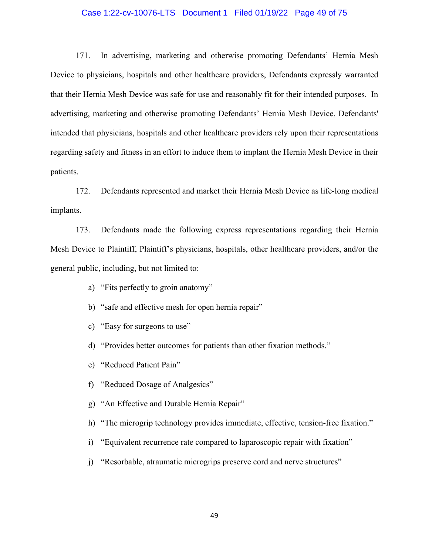# Case 1:22-cv-10076-LTS Document 1 Filed 01/19/22 Page 49 of 75

171. In advertising, marketing and otherwise promoting Defendants' Hernia Mesh Device to physicians, hospitals and other healthcare providers, Defendants expressly warranted that their Hernia Mesh Device was safe for use and reasonably fit for their intended purposes. In advertising, marketing and otherwise promoting Defendants' Hernia Mesh Device, Defendants' intended that physicians, hospitals and other healthcare providers rely upon their representations regarding safety and fitness in an effort to induce them to implant the Hernia Mesh Device in their patients.

172. Defendants represented and market their Hernia Mesh Device as life-long medical implants.

173. Defendants made the following express representations regarding their Hernia Mesh Device to Plaintiff, Plaintiff's physicians, hospitals, other healthcare providers, and/or the general public, including, but not limited to:

- a) "Fits perfectly to groin anatomy"
- b) "safe and effective mesh for open hernia repair"
- c) "Easy for surgeons to use"
- d) "Provides better outcomes for patients than other fixation methods."
- e) "Reduced Patient Pain"
- f) "Reduced Dosage of Analgesics"
- g) "An Effective and Durable Hernia Repair"
- h) "The microgrip technology provides immediate, effective, tension-free fixation."
- i) "Equivalent recurrence rate compared to laparoscopic repair with fixation"
- j) "Resorbable, atraumatic microgrips preserve cord and nerve structures"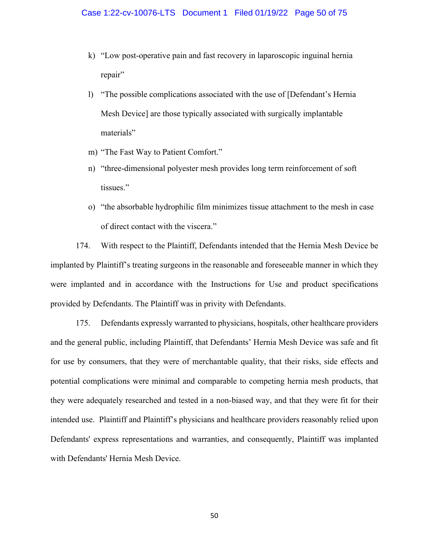- k) "Low post-operative pain and fast recovery in laparoscopic inguinal hernia repair"
- l) "The possible complications associated with the use of [Defendant's Hernia Mesh Device] are those typically associated with surgically implantable materials"
- m) "The Fast Way to Patient Comfort."
- n) "three-dimensional polyester mesh provides long term reinforcement of soft tissues."
- o) "the absorbable hydrophilic film minimizes tissue attachment to the mesh in case of direct contact with the viscera."

174. With respect to the Plaintiff, Defendants intended that the Hernia Mesh Device be implanted by Plaintiff's treating surgeons in the reasonable and foreseeable manner in which they were implanted and in accordance with the Instructions for Use and product specifications provided by Defendants. The Plaintiff was in privity with Defendants.

175. Defendants expressly warranted to physicians, hospitals, other healthcare providers and the general public, including Plaintiff, that Defendants' Hernia Mesh Device was safe and fit for use by consumers, that they were of merchantable quality, that their risks, side effects and potential complications were minimal and comparable to competing hernia mesh products, that they were adequately researched and tested in a non-biased way, and that they were fit for their intended use. Plaintiff and Plaintiff's physicians and healthcare providers reasonably relied upon Defendants' express representations and warranties, and consequently, Plaintiff was implanted with Defendants' Hernia Mesh Device.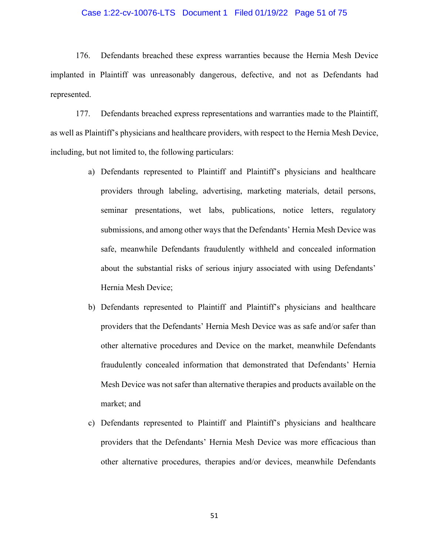# Case 1:22-cv-10076-LTS Document 1 Filed 01/19/22 Page 51 of 75

176. Defendants breached these express warranties because the Hernia Mesh Device implanted in Plaintiff was unreasonably dangerous, defective, and not as Defendants had represented.

177. Defendants breached express representations and warranties made to the Plaintiff, as well as Plaintiff's physicians and healthcare providers, with respect to the Hernia Mesh Device, including, but not limited to, the following particulars:

- a) Defendants represented to Plaintiff and Plaintiff's physicians and healthcare providers through labeling, advertising, marketing materials, detail persons, seminar presentations, wet labs, publications, notice letters, regulatory submissions, and among other ways that the Defendants' Hernia Mesh Device was safe, meanwhile Defendants fraudulently withheld and concealed information about the substantial risks of serious injury associated with using Defendants' Hernia Mesh Device;
- b) Defendants represented to Plaintiff and Plaintiff's physicians and healthcare providers that the Defendants' Hernia Mesh Device was as safe and/or safer than other alternative procedures and Device on the market, meanwhile Defendants fraudulently concealed information that demonstrated that Defendants' Hernia Mesh Device was not safer than alternative therapies and products available on the market; and
- c) Defendants represented to Plaintiff and Plaintiff's physicians and healthcare providers that the Defendants' Hernia Mesh Device was more efficacious than other alternative procedures, therapies and/or devices, meanwhile Defendants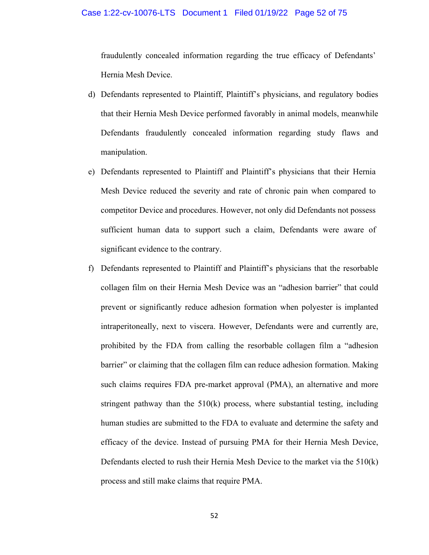# Case 1:22-cv-10076-LTS Document 1 Filed 01/19/22 Page 52 of 75

fraudulently concealed information regarding the true efficacy of Defendants' Hernia Mesh Device.

- d) Defendants represented to Plaintiff, Plaintiff's physicians, and regulatory bodies that their Hernia Mesh Device performed favorably in animal models, meanwhile Defendants fraudulently concealed information regarding study flaws and manipulation.
- e) Defendants represented to Plaintiff and Plaintiff's physicians that their Hernia Mesh Device reduced the severity and rate of chronic pain when compared to competitor Device and procedures. However, not only did Defendants not possess sufficient human data to support such a claim, Defendants were aware of significant evidence to the contrary.
- f) Defendants represented to Plaintiff and Plaintiff's physicians that the resorbable collagen film on their Hernia Mesh Device was an "adhesion barrier" that could prevent or significantly reduce adhesion formation when polyester is implanted intraperitoneally, next to viscera. However, Defendants were and currently are, prohibited by the FDA from calling the resorbable collagen film a "adhesion barrier" or claiming that the collagen film can reduce adhesion formation. Making such claims requires FDA pre-market approval (PMA), an alternative and more stringent pathway than the 510(k) process, where substantial testing, including human studies are submitted to the FDA to evaluate and determine the safety and efficacy of the device. Instead of pursuing PMA for their Hernia Mesh Device, Defendants elected to rush their Hernia Mesh Device to the market via the 510(k) process and still make claims that require PMA.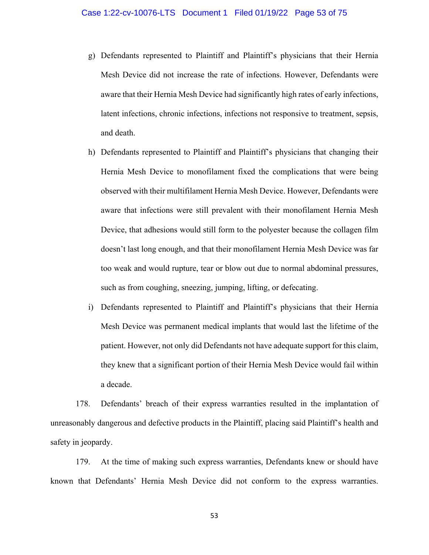- g) Defendants represented to Plaintiff and Plaintiff's physicians that their Hernia Mesh Device did not increase the rate of infections. However, Defendants were aware that their Hernia Mesh Device had significantly high rates of early infections, latent infections, chronic infections, infections not responsive to treatment, sepsis, and death.
- h) Defendants represented to Plaintiff and Plaintiff's physicians that changing their Hernia Mesh Device to monofilament fixed the complications that were being observed with their multifilament Hernia Mesh Device. However, Defendants were aware that infections were still prevalent with their monofilament Hernia Mesh Device, that adhesions would still form to the polyester because the collagen film doesn't last long enough, and that their monofilament Hernia Mesh Device was far too weak and would rupture, tear or blow out due to normal abdominal pressures, such as from coughing, sneezing, jumping, lifting, or defecating.
- i) Defendants represented to Plaintiff and Plaintiff's physicians that their Hernia Mesh Device was permanent medical implants that would last the lifetime of the patient. However, not only did Defendants not have adequate support for this claim, they knew that a significant portion of their Hernia Mesh Device would fail within a decade.

178. Defendants' breach of their express warranties resulted in the implantation of unreasonably dangerous and defective products in the Plaintiff, placing said Plaintiff's health and safety in jeopardy.

179. At the time of making such express warranties, Defendants knew or should have known that Defendants' Hernia Mesh Device did not conform to the express warranties.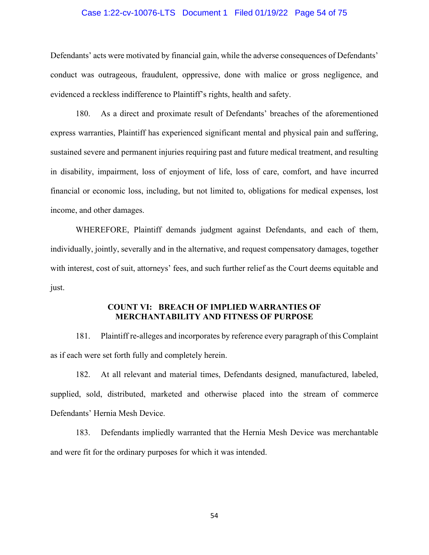# Case 1:22-cv-10076-LTS Document 1 Filed 01/19/22 Page 54 of 75

Defendants' acts were motivated by financial gain, while the adverse consequences of Defendants' conduct was outrageous, fraudulent, oppressive, done with malice or gross negligence, and evidenced a reckless indifference to Plaintiff's rights, health and safety.

180. As a direct and proximate result of Defendants' breaches of the aforementioned express warranties, Plaintiff has experienced significant mental and physical pain and suffering, sustained severe and permanent injuries requiring past and future medical treatment, and resulting in disability, impairment, loss of enjoyment of life, loss of care, comfort, and have incurred financial or economic loss, including, but not limited to, obligations for medical expenses, lost income, and other damages.

WHEREFORE, Plaintiff demands judgment against Defendants, and each of them, individually, jointly, severally and in the alternative, and request compensatory damages, together with interest, cost of suit, attorneys' fees, and such further relief as the Court deems equitable and just.

# **COUNT VI: BREACH OF IMPLIED WARRANTIES OF MERCHANTABILITY AND FITNESS OF PURPOSE**

181. Plaintiff re-alleges and incorporates by reference every paragraph of this Complaint as if each were set forth fully and completely herein.

182. At all relevant and material times, Defendants designed, manufactured, labeled, supplied, sold, distributed, marketed and otherwise placed into the stream of commerce Defendants' Hernia Mesh Device.

183. Defendants impliedly warranted that the Hernia Mesh Device was merchantable and were fit for the ordinary purposes for which it was intended.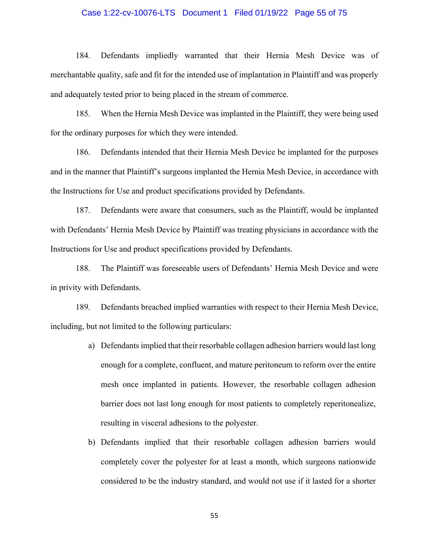# Case 1:22-cv-10076-LTS Document 1 Filed 01/19/22 Page 55 of 75

184. Defendants impliedly warranted that their Hernia Mesh Device was of merchantable quality, safe and fit for the intended use of implantation in Plaintiff and was properly and adequately tested prior to being placed in the stream of commerce.

185. When the Hernia Mesh Device was implanted in the Plaintiff, they were being used for the ordinary purposes for which they were intended.

186. Defendants intended that their Hernia Mesh Device be implanted for the purposes and in the manner that Plaintiff's surgeons implanted the Hernia Mesh Device, in accordance with the Instructions for Use and product specifications provided by Defendants.

187. Defendants were aware that consumers, such as the Plaintiff, would be implanted with Defendants' Hernia Mesh Device by Plaintiff was treating physicians in accordance with the Instructions for Use and product specifications provided by Defendants.

188. The Plaintiff was foreseeable users of Defendants' Hernia Mesh Device and were in privity with Defendants.

189. Defendants breached implied warranties with respect to their Hernia Mesh Device, including, but not limited to the following particulars:

- a) Defendants implied that their resorbable collagen adhesion barriers would last long enough for a complete, confluent, and mature peritoneum to reform over the entire mesh once implanted in patients. However, the resorbable collagen adhesion barrier does not last long enough for most patients to completely reperitonealize, resulting in visceral adhesions to the polyester.
- b) Defendants implied that their resorbable collagen adhesion barriers would completely cover the polyester for at least a month, which surgeons nationwide considered to be the industry standard, and would not use if it lasted for a shorter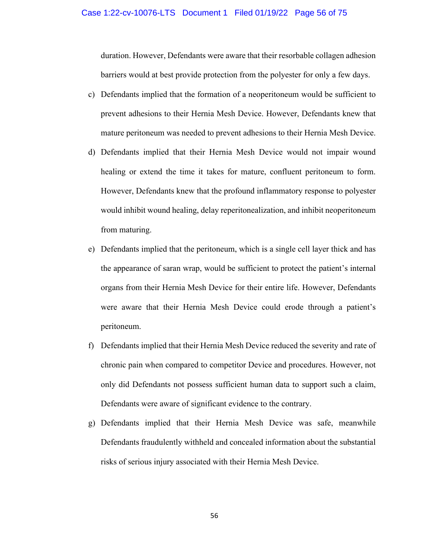duration. However, Defendants were aware that their resorbable collagen adhesion barriers would at best provide protection from the polyester for only a few days.

- c) Defendants implied that the formation of a neoperitoneum would be sufficient to prevent adhesions to their Hernia Mesh Device. However, Defendants knew that mature peritoneum was needed to prevent adhesions to their Hernia Mesh Device.
- d) Defendants implied that their Hernia Mesh Device would not impair wound healing or extend the time it takes for mature, confluent peritoneum to form. However, Defendants knew that the profound inflammatory response to polyester would inhibit wound healing, delay reperitonealization, and inhibit neoperitoneum from maturing.
- e) Defendants implied that the peritoneum, which is a single cell layer thick and has the appearance of saran wrap, would be sufficient to protect the patient's internal organs from their Hernia Mesh Device for their entire life. However, Defendants were aware that their Hernia Mesh Device could erode through a patient's peritoneum.
- f) Defendants implied that their Hernia Mesh Device reduced the severity and rate of chronic pain when compared to competitor Device and procedures. However, not only did Defendants not possess sufficient human data to support such a claim, Defendants were aware of significant evidence to the contrary.
- g) Defendants implied that their Hernia Mesh Device was safe, meanwhile Defendants fraudulently withheld and concealed information about the substantial risks of serious injury associated with their Hernia Mesh Device.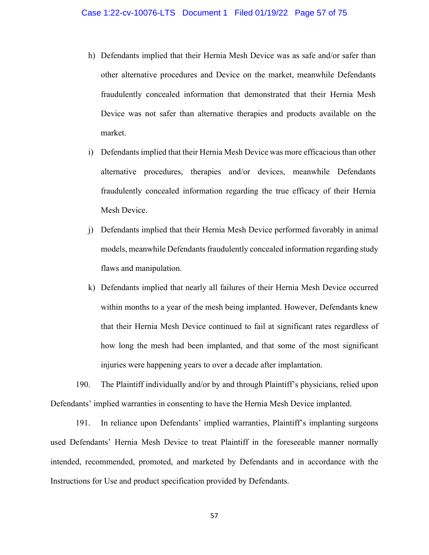- h) Defendants implied that their Hernia Mesh Device was as safe and/or safer than other alternative procedures and Device on the market, meanwhile Defendants fraudulently concealed information that demonstrated that their Hernia Mesh Device was not safer than alternative therapies and products available on the market.
- i) Defendants implied that their Hernia Mesh Device was more efficacious than other alternative procedures, therapies and/or devices, meanwhile Defendants fraudulently concealed information regarding the true efficacy of their Hernia Mesh Device.
- j) Defendants implied that their Hernia Mesh Device performed favorably in animal models, meanwhile Defendants fraudulently concealed information regarding study flaws and manipulation.
- k) Defendants implied that nearly all failures of their Hernia Mesh Device occurred within months to a year of the mesh being implanted. However, Defendants knew that their Hernia Mesh Device continued to fail at significant rates regardless of how long the mesh had been implanted, and that some of the most significant injuries were happening years to over a decade after implantation.

190. The Plaintiff individually and/or by and through Plaintiff's physicians, relied upon Defendants' implied warranties in consenting to have the Hernia Mesh Device implanted.

191. In reliance upon Defendants' implied warranties, Plaintiff's implanting surgeons used Defendants' Hernia Mesh Device to treat Plaintiff in the foreseeable manner normally intended, recommended, promoted, and marketed by Defendants and in accordance with the Instructions for Use and product specification provided by Defendants.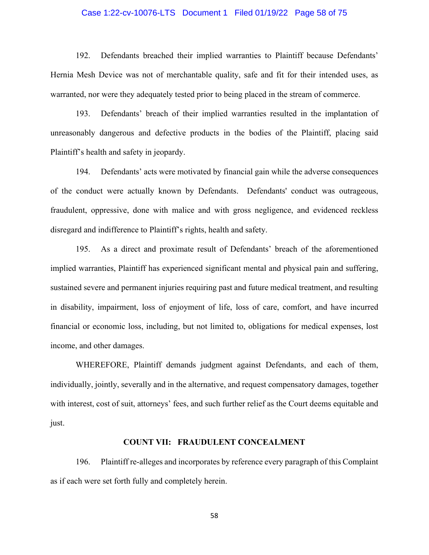# Case 1:22-cv-10076-LTS Document 1 Filed 01/19/22 Page 58 of 75

192. Defendants breached their implied warranties to Plaintiff because Defendants' Hernia Mesh Device was not of merchantable quality, safe and fit for their intended uses, as warranted, nor were they adequately tested prior to being placed in the stream of commerce.

193. Defendants' breach of their implied warranties resulted in the implantation of unreasonably dangerous and defective products in the bodies of the Plaintiff, placing said Plaintiff's health and safety in jeopardy.

194. Defendants' acts were motivated by financial gain while the adverse consequences of the conduct were actually known by Defendants. Defendants' conduct was outrageous, fraudulent, oppressive, done with malice and with gross negligence, and evidenced reckless disregard and indifference to Plaintiff's rights, health and safety.

195. As a direct and proximate result of Defendants' breach of the aforementioned implied warranties, Plaintiff has experienced significant mental and physical pain and suffering, sustained severe and permanent injuries requiring past and future medical treatment, and resulting in disability, impairment, loss of enjoyment of life, loss of care, comfort, and have incurred financial or economic loss, including, but not limited to, obligations for medical expenses, lost income, and other damages.

WHEREFORE, Plaintiff demands judgment against Defendants, and each of them, individually, jointly, severally and in the alternative, and request compensatory damages, together with interest, cost of suit, attorneys' fees, and such further relief as the Court deems equitable and just.

#### **COUNT VII: FRAUDULENT CONCEALMENT**

196. Plaintiff re-alleges and incorporates by reference every paragraph of this Complaint as if each were set forth fully and completely herein.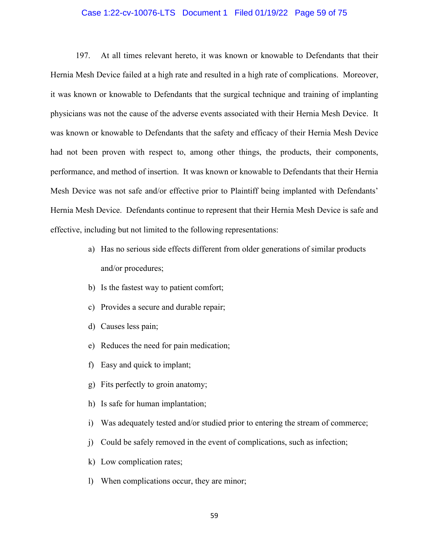#### Case 1:22-cv-10076-LTS Document 1 Filed 01/19/22 Page 59 of 75

197. At all times relevant hereto, it was known or knowable to Defendants that their Hernia Mesh Device failed at a high rate and resulted in a high rate of complications. Moreover, it was known or knowable to Defendants that the surgical technique and training of implanting physicians was not the cause of the adverse events associated with their Hernia Mesh Device. It was known or knowable to Defendants that the safety and efficacy of their Hernia Mesh Device had not been proven with respect to, among other things, the products, their components, performance, and method of insertion. It was known or knowable to Defendants that their Hernia Mesh Device was not safe and/or effective prior to Plaintiff being implanted with Defendants' Hernia Mesh Device. Defendants continue to represent that their Hernia Mesh Device is safe and effective, including but not limited to the following representations:

- a) Has no serious side effects different from older generations of similar products and/or procedures;
- b) Is the fastest way to patient comfort;
- c) Provides a secure and durable repair;
- d) Causes less pain;
- e) Reduces the need for pain medication;
- f) Easy and quick to implant;
- g) Fits perfectly to groin anatomy;
- h) Is safe for human implantation;
- i) Was adequately tested and/or studied prior to entering the stream of commerce;
- j) Could be safely removed in the event of complications, such as infection;
- k) Low complication rates;
- l) When complications occur, they are minor;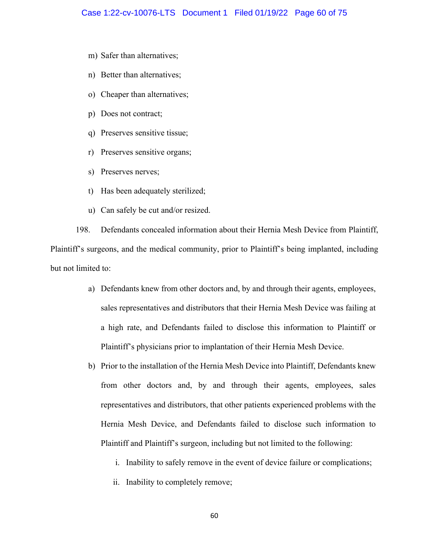- m) Safer than alternatives;
- n) Better than alternatives;
- o) Cheaper than alternatives;
- p) Does not contract;
- q) Preserves sensitive tissue;
- r) Preserves sensitive organs;
- s) Preserves nerves;
- t) Has been adequately sterilized;
- u) Can safely be cut and/or resized.

198. Defendants concealed information about their Hernia Mesh Device from Plaintiff, Plaintiff's surgeons, and the medical community, prior to Plaintiff's being implanted, including but not limited to:

- a) Defendants knew from other doctors and, by and through their agents, employees, sales representatives and distributors that their Hernia Mesh Device was failing at a high rate, and Defendants failed to disclose this information to Plaintiff or Plaintiff's physicians prior to implantation of their Hernia Mesh Device.
- b) Prior to the installation of the Hernia Mesh Device into Plaintiff, Defendants knew from other doctors and, by and through their agents, employees, sales representatives and distributors, that other patients experienced problems with the Hernia Mesh Device, and Defendants failed to disclose such information to Plaintiff and Plaintiff's surgeon, including but not limited to the following:
	- i. Inability to safely remove in the event of device failure or complications;
	- ii. Inability to completely remove;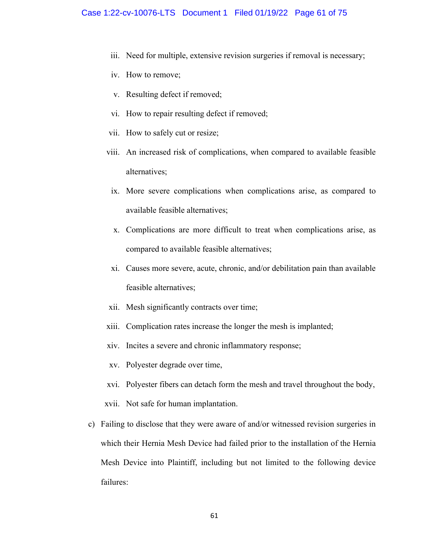- iii. Need for multiple, extensive revision surgeries if removal is necessary;
- iv. How to remove;
- v. Resulting defect if removed;
- vi. How to repair resulting defect if removed;
- vii. How to safely cut or resize;
- viii. An increased risk of complications, when compared to available feasible alternatives;
	- ix. More severe complications when complications arise, as compared to available feasible alternatives;
	- x. Complications are more difficult to treat when complications arise, as compared to available feasible alternatives;
	- xi. Causes more severe, acute, chronic, and/or debilitation pain than available feasible alternatives;
- xii. Mesh significantly contracts over time;
- xiii. Complication rates increase the longer the mesh is implanted;
- xiv. Incites a severe and chronic inflammatory response;
- xv. Polyester degrade over time,
- xvi. Polyester fibers can detach form the mesh and travel throughout the body,
- xvii. Not safe for human implantation.
- c) Failing to disclose that they were aware of and/or witnessed revision surgeries in which their Hernia Mesh Device had failed prior to the installation of the Hernia Mesh Device into Plaintiff, including but not limited to the following device failures: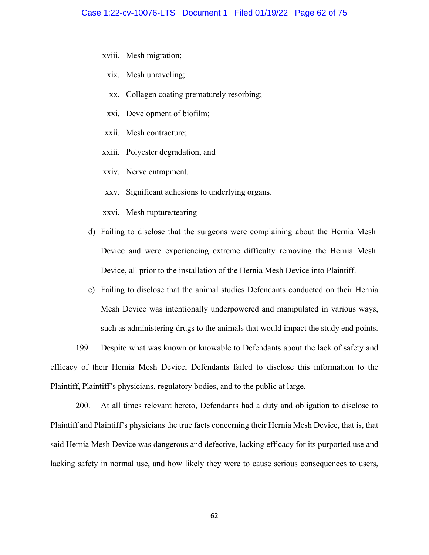- xviii. Mesh migration;
	- xix. Mesh unraveling;
	- xx. Collagen coating prematurely resorbing;
	- xxi. Development of biofilm;
- xxii. Mesh contracture;
- xxiii. Polyester degradation, and
- xxiv. Nerve entrapment.
- xxv. Significant adhesions to underlying organs.
- xxvi. Mesh rupture/tearing
- d) Failing to disclose that the surgeons were complaining about the Hernia Mesh Device and were experiencing extreme difficulty removing the Hernia Mesh Device, all prior to the installation of the Hernia Mesh Device into Plaintiff.
- e) Failing to disclose that the animal studies Defendants conducted on their Hernia Mesh Device was intentionally underpowered and manipulated in various ways, such as administering drugs to the animals that would impact the study end points.

199. Despite what was known or knowable to Defendants about the lack of safety and efficacy of their Hernia Mesh Device, Defendants failed to disclose this information to the Plaintiff, Plaintiff's physicians, regulatory bodies, and to the public at large.

200. At all times relevant hereto, Defendants had a duty and obligation to disclose to Plaintiff and Plaintiff's physicians the true facts concerning their Hernia Mesh Device, that is, that said Hernia Mesh Device was dangerous and defective, lacking efficacy for its purported use and lacking safety in normal use, and how likely they were to cause serious consequences to users,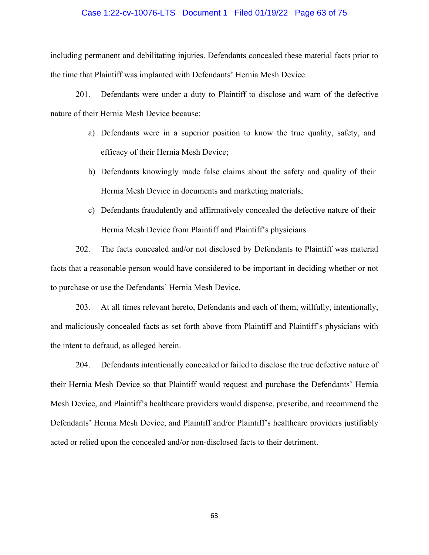# Case 1:22-cv-10076-LTS Document 1 Filed 01/19/22 Page 63 of 75

including permanent and debilitating injuries. Defendants concealed these material facts prior to the time that Plaintiff was implanted with Defendants' Hernia Mesh Device.

201. Defendants were under a duty to Plaintiff to disclose and warn of the defective nature of their Hernia Mesh Device because:

- a) Defendants were in a superior position to know the true quality, safety, and efficacy of their Hernia Mesh Device;
- b) Defendants knowingly made false claims about the safety and quality of their Hernia Mesh Device in documents and marketing materials;
- c) Defendants fraudulently and affirmatively concealed the defective nature of their Hernia Mesh Device from Plaintiff and Plaintiff's physicians.

202. The facts concealed and/or not disclosed by Defendants to Plaintiff was material facts that a reasonable person would have considered to be important in deciding whether or not to purchase or use the Defendants' Hernia Mesh Device.

203. At all times relevant hereto, Defendants and each of them, willfully, intentionally, and maliciously concealed facts as set forth above from Plaintiff and Plaintiff's physicians with the intent to defraud, as alleged herein.

204. Defendants intentionally concealed or failed to disclose the true defective nature of their Hernia Mesh Device so that Plaintiff would request and purchase the Defendants' Hernia Mesh Device, and Plaintiff's healthcare providers would dispense, prescribe, and recommend the Defendants' Hernia Mesh Device, and Plaintiff and/or Plaintiff's healthcare providers justifiably acted or relied upon the concealed and/or non-disclosed facts to their detriment.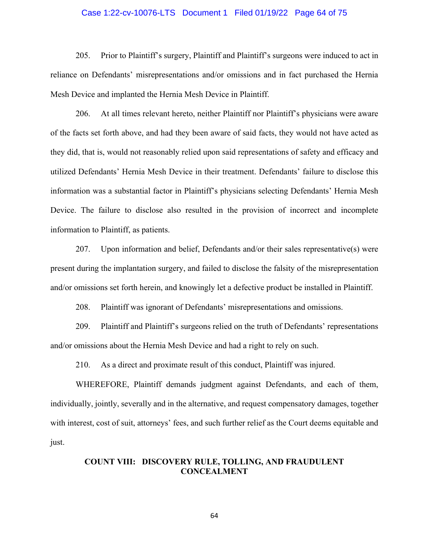# Case 1:22-cv-10076-LTS Document 1 Filed 01/19/22 Page 64 of 75

205. Prior to Plaintiff's surgery, Plaintiff and Plaintiff's surgeons were induced to act in reliance on Defendants' misrepresentations and/or omissions and in fact purchased the Hernia Mesh Device and implanted the Hernia Mesh Device in Plaintiff.

206. At all times relevant hereto, neither Plaintiff nor Plaintiff's physicians were aware of the facts set forth above, and had they been aware of said facts, they would not have acted as they did, that is, would not reasonably relied upon said representations of safety and efficacy and utilized Defendants' Hernia Mesh Device in their treatment. Defendants' failure to disclose this information was a substantial factor in Plaintiff's physicians selecting Defendants' Hernia Mesh Device. The failure to disclose also resulted in the provision of incorrect and incomplete information to Plaintiff, as patients.

207. Upon information and belief, Defendants and/or their sales representative(s) were present during the implantation surgery, and failed to disclose the falsity of the misrepresentation and/or omissions set forth herein, and knowingly let a defective product be installed in Plaintiff.

208. Plaintiff was ignorant of Defendants' misrepresentations and omissions.

209. Plaintiff and Plaintiff's surgeons relied on the truth of Defendants' representations and/or omissions about the Hernia Mesh Device and had a right to rely on such.

210. As a direct and proximate result of this conduct, Plaintiff was injured.

WHEREFORE, Plaintiff demands judgment against Defendants, and each of them, individually, jointly, severally and in the alternative, and request compensatory damages, together with interest, cost of suit, attorneys' fees, and such further relief as the Court deems equitable and just.

# **COUNT VIII: DISCOVERY RULE, TOLLING, AND FRAUDULENT CONCEALMENT**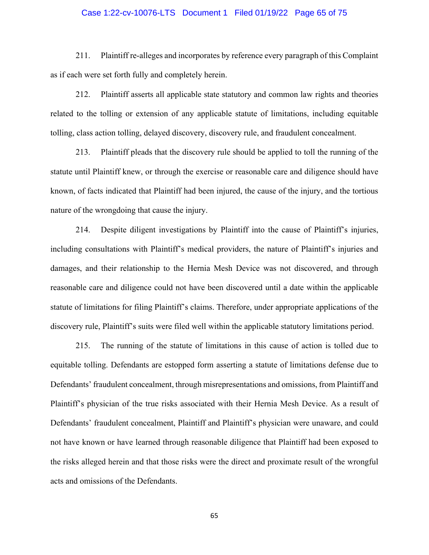# Case 1:22-cv-10076-LTS Document 1 Filed 01/19/22 Page 65 of 75

211. Plaintiff re-alleges and incorporates by reference every paragraph of this Complaint as if each were set forth fully and completely herein.

212. Plaintiff asserts all applicable state statutory and common law rights and theories related to the tolling or extension of any applicable statute of limitations, including equitable tolling, class action tolling, delayed discovery, discovery rule, and fraudulent concealment.

213. Plaintiff pleads that the discovery rule should be applied to toll the running of the statute until Plaintiff knew, or through the exercise or reasonable care and diligence should have known, of facts indicated that Plaintiff had been injured, the cause of the injury, and the tortious nature of the wrongdoing that cause the injury.

214. Despite diligent investigations by Plaintiff into the cause of Plaintiff's injuries, including consultations with Plaintiff's medical providers, the nature of Plaintiff's injuries and damages, and their relationship to the Hernia Mesh Device was not discovered, and through reasonable care and diligence could not have been discovered until a date within the applicable statute of limitations for filing Plaintiff's claims. Therefore, under appropriate applications of the discovery rule, Plaintiff's suits were filed well within the applicable statutory limitations period.

215. The running of the statute of limitations in this cause of action is tolled due to equitable tolling. Defendants are estopped form asserting a statute of limitations defense due to Defendants' fraudulent concealment, through misrepresentations and omissions, from Plaintiff and Plaintiff's physician of the true risks associated with their Hernia Mesh Device. As a result of Defendants' fraudulent concealment, Plaintiff and Plaintiff's physician were unaware, and could not have known or have learned through reasonable diligence that Plaintiff had been exposed to the risks alleged herein and that those risks were the direct and proximate result of the wrongful acts and omissions of the Defendants.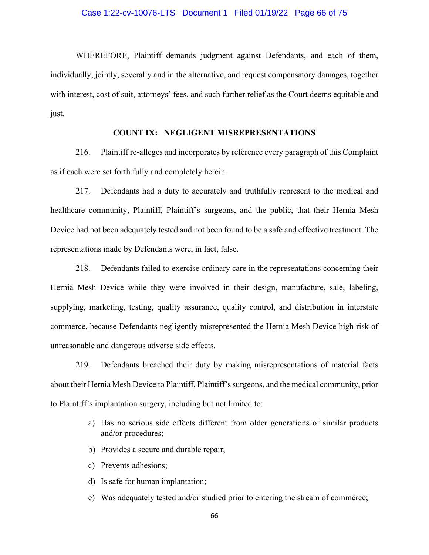# Case 1:22-cv-10076-LTS Document 1 Filed 01/19/22 Page 66 of 75

WHEREFORE, Plaintiff demands judgment against Defendants, and each of them, individually, jointly, severally and in the alternative, and request compensatory damages, together with interest, cost of suit, attorneys' fees, and such further relief as the Court deems equitable and just.

# **COUNT IX: NEGLIGENT MISREPRESENTATIONS**

216. Plaintiff re-alleges and incorporates by reference every paragraph of this Complaint as if each were set forth fully and completely herein.

217. Defendants had a duty to accurately and truthfully represent to the medical and healthcare community, Plaintiff, Plaintiff's surgeons, and the public, that their Hernia Mesh Device had not been adequately tested and not been found to be a safe and effective treatment. The representations made by Defendants were, in fact, false.

218. Defendants failed to exercise ordinary care in the representations concerning their Hernia Mesh Device while they were involved in their design, manufacture, sale, labeling, supplying, marketing, testing, quality assurance, quality control, and distribution in interstate commerce, because Defendants negligently misrepresented the Hernia Mesh Device high risk of unreasonable and dangerous adverse side effects.

219. Defendants breached their duty by making misrepresentations of material facts about their Hernia Mesh Device to Plaintiff, Plaintiff's surgeons, and the medical community, prior to Plaintiff's implantation surgery, including but not limited to:

- a) Has no serious side effects different from older generations of similar products and/or procedures;
- b) Provides a secure and durable repair;
- c) Prevents adhesions;
- d) Is safe for human implantation;
- e) Was adequately tested and/or studied prior to entering the stream of commerce;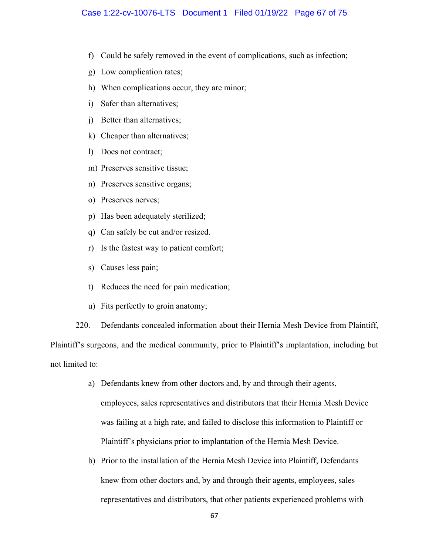- f) Could be safely removed in the event of complications, such as infection;
- g) Low complication rates;
- h) When complications occur, they are minor;
- i) Safer than alternatives;
- j) Better than alternatives;
- k) Cheaper than alternatives;
- l) Does not contract;
- m) Preserves sensitive tissue;
- n) Preserves sensitive organs;
- o) Preserves nerves;
- p) Has been adequately sterilized;
- q) Can safely be cut and/or resized.
- r) Is the fastest way to patient comfort;
- s) Causes less pain;
- t) Reduces the need for pain medication;
- u) Fits perfectly to groin anatomy;

220. Defendants concealed information about their Hernia Mesh Device from Plaintiff, Plaintiff's surgeons, and the medical community, prior to Plaintiff's implantation, including but not limited to:

- a) Defendants knew from other doctors and, by and through their agents, employees, sales representatives and distributors that their Hernia Mesh Device was failing at a high rate, and failed to disclose this information to Plaintiff or Plaintiff's physicians prior to implantation of the Hernia Mesh Device.
- b) Prior to the installation of the Hernia Mesh Device into Plaintiff, Defendants knew from other doctors and, by and through their agents, employees, sales representatives and distributors, that other patients experienced problems with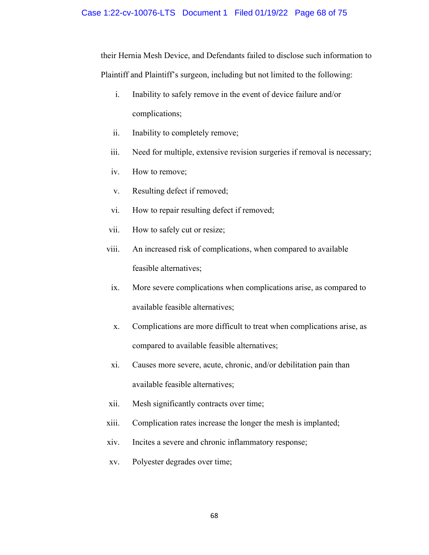#### Case 1:22-cv-10076-LTS Document 1 Filed 01/19/22 Page 68 of 75

their Hernia Mesh Device, and Defendants failed to disclose such information to Plaintiff and Plaintiff's surgeon, including but not limited to the following:

- i. Inability to safely remove in the event of device failure and/or complications;
- ii. Inability to completely remove;
- iii. Need for multiple, extensive revision surgeries if removal is necessary;
- iv. How to remove;
- v. Resulting defect if removed;
- vi. How to repair resulting defect if removed;
- vii. How to safely cut or resize;
- viii. An increased risk of complications, when compared to available feasible alternatives;
	- ix. More severe complications when complications arise, as compared to available feasible alternatives;
	- x. Complications are more difficult to treat when complications arise, as compared to available feasible alternatives;
	- xi. Causes more severe, acute, chronic, and/or debilitation pain than available feasible alternatives;
- xii. Mesh significantly contracts over time;
- xiii. Complication rates increase the longer the mesh is implanted;
- xiv. Incites a severe and chronic inflammatory response;
- xv. Polyester degrades over time;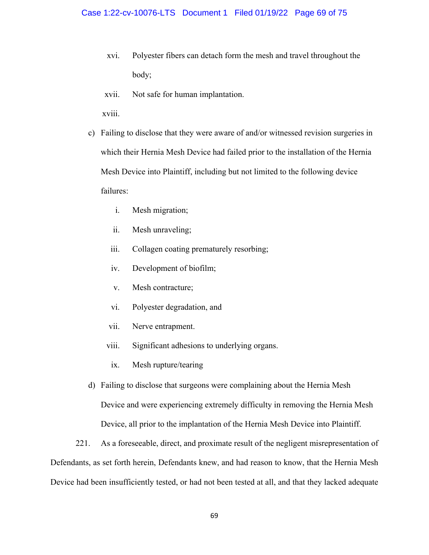- xvi. Polyester fibers can detach form the mesh and travel throughout the body;
- xvii. Not safe for human implantation.

xviii.

- c) Failing to disclose that they were aware of and/or witnessed revision surgeries in which their Hernia Mesh Device had failed prior to the installation of the Hernia Mesh Device into Plaintiff, including but not limited to the following device failures:
	- i. Mesh migration;
	- ii. Mesh unraveling;
	- iii. Collagen coating prematurely resorbing;
	- iv. Development of biofilm;
	- v. Mesh contracture;
	- vi. Polyester degradation, and
	- vii. Nerve entrapment.
	- viii. Significant adhesions to underlying organs.
	- ix. Mesh rupture/tearing
- d) Failing to disclose that surgeons were complaining about the Hernia Mesh Device and were experiencing extremely difficulty in removing the Hernia Mesh Device, all prior to the implantation of the Hernia Mesh Device into Plaintiff.

221. As a foreseeable, direct, and proximate result of the negligent misrepresentation of Defendants, as set forth herein, Defendants knew, and had reason to know, that the Hernia Mesh Device had been insufficiently tested, or had not been tested at all, and that they lacked adequate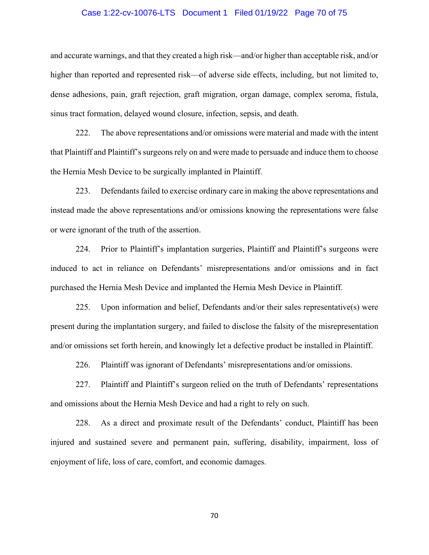# Case 1:22-cv-10076-LTS Document 1 Filed 01/19/22 Page 70 of 75

and accurate warnings, and that they created a high risk—and/or higher than acceptable risk, and/or higher than reported and represented risk—of adverse side effects, including, but not limited to, dense adhesions, pain, graft rejection, graft migration, organ damage, complex seroma, fistula, sinus tract formation, delayed wound closure, infection, sepsis, and death.

222. The above representations and/or omissions were material and made with the intent that Plaintiff and Plaintiff's surgeons rely on and were made to persuade and induce them to choose the Hernia Mesh Device to be surgically implanted in Plaintiff.

223. Defendants failed to exercise ordinary care in making the above representations and instead made the above representations and/or omissions knowing the representations were false or were ignorant of the truth of the assertion.

224. Prior to Plaintiff's implantation surgeries, Plaintiff and Plaintiff's surgeons were induced to act in reliance on Defendants' misrepresentations and/or omissions and in fact purchased the Hernia Mesh Device and implanted the Hernia Mesh Device in Plaintiff.

225. Upon information and belief, Defendants and/or their sales representative(s) were present during the implantation surgery, and failed to disclose the falsity of the misrepresentation and/or omissions set forth herein, and knowingly let a defective product be installed in Plaintiff.

226. Plaintiff was ignorant of Defendants' misrepresentations and/or omissions.

227. Plaintiff and Plaintiff's surgeon relied on the truth of Defendants' representations and omissions about the Hernia Mesh Device and had a right to rely on such.

228. As a direct and proximate result of the Defendants' conduct, Plaintiff has been injured and sustained severe and permanent pain, suffering, disability, impairment, loss of enjoyment of life, loss of care, comfort, and economic damages.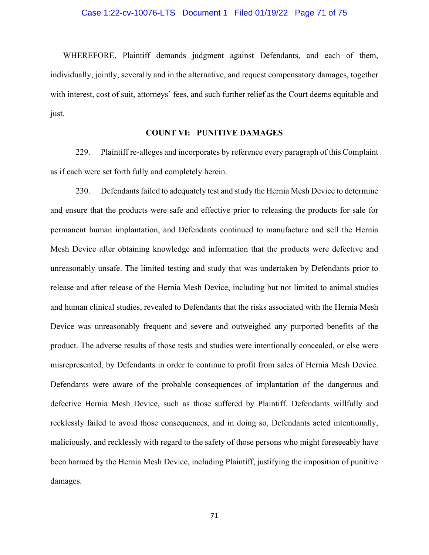# Case 1:22-cv-10076-LTS Document 1 Filed 01/19/22 Page 71 of 75

WHEREFORE, Plaintiff demands judgment against Defendants, and each of them, individually, jointly, severally and in the alternative, and request compensatory damages, together with interest, cost of suit, attorneys' fees, and such further relief as the Court deems equitable and just.

### **COUNT VI: PUNITIVE DAMAGES**

229. Plaintiff re-alleges and incorporates by reference every paragraph of this Complaint as if each were set forth fully and completely herein.

230. Defendants failed to adequately test and study the Hernia Mesh Device to determine and ensure that the products were safe and effective prior to releasing the products for sale for permanent human implantation, and Defendants continued to manufacture and sell the Hernia Mesh Device after obtaining knowledge and information that the products were defective and unreasonably unsafe. The limited testing and study that was undertaken by Defendants prior to release and after release of the Hernia Mesh Device, including but not limited to animal studies and human clinical studies, revealed to Defendants that the risks associated with the Hernia Mesh Device was unreasonably frequent and severe and outweighed any purported benefits of the product. The adverse results of those tests and studies were intentionally concealed, or else were misrepresented, by Defendants in order to continue to profit from sales of Hernia Mesh Device. Defendants were aware of the probable consequences of implantation of the dangerous and defective Hernia Mesh Device, such as those suffered by Plaintiff. Defendants willfully and recklessly failed to avoid those consequences, and in doing so, Defendants acted intentionally, maliciously, and recklessly with regard to the safety of those persons who might foreseeably have been harmed by the Hernia Mesh Device, including Plaintiff, justifying the imposition of punitive damages.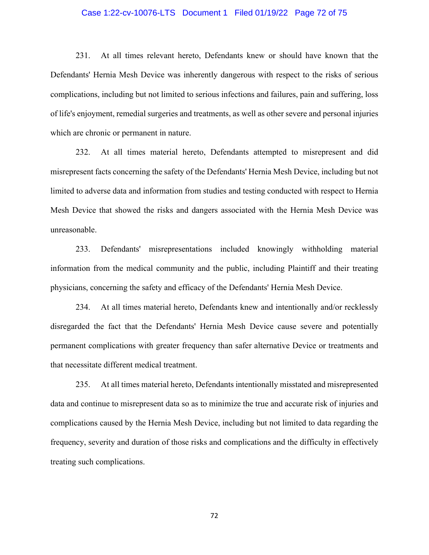# Case 1:22-cv-10076-LTS Document 1 Filed 01/19/22 Page 72 of 75

231. At all times relevant hereto, Defendants knew or should have known that the Defendants' Hernia Mesh Device was inherently dangerous with respect to the risks of serious complications, including but not limited to serious infections and failures, pain and suffering, loss of life's enjoyment, remedial surgeries and treatments, as well as other severe and personal injuries which are chronic or permanent in nature.

232. At all times material hereto, Defendants attempted to misrepresent and did misrepresent facts concerning the safety of the Defendants' Hernia Mesh Device, including but not limited to adverse data and information from studies and testing conducted with respect to Hernia Mesh Device that showed the risks and dangers associated with the Hernia Mesh Device was unreasonable.

233. Defendants' misrepresentations included knowingly withholding material information from the medical community and the public, including Plaintiff and their treating physicians, concerning the safety and efficacy of the Defendants' Hernia Mesh Device.

234. At all times material hereto, Defendants knew and intentionally and/or recklessly disregarded the fact that the Defendants' Hernia Mesh Device cause severe and potentially permanent complications with greater frequency than safer alternative Device or treatments and that necessitate different medical treatment.

235. At all times material hereto, Defendants intentionally misstated and misrepresented data and continue to misrepresent data so as to minimize the true and accurate risk of injuries and complications caused by the Hernia Mesh Device, including but not limited to data regarding the frequency, severity and duration of those risks and complications and the difficulty in effectively treating such complications.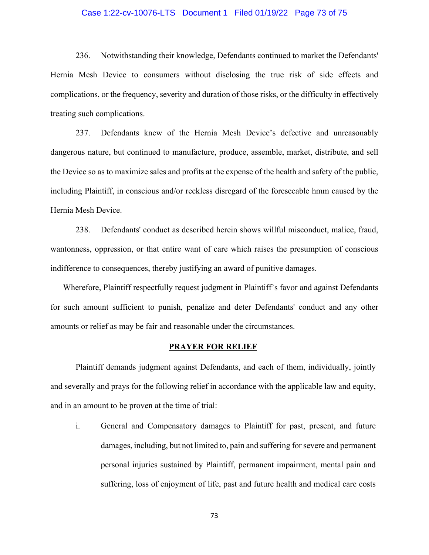## Case 1:22-cv-10076-LTS Document 1 Filed 01/19/22 Page 73 of 75

236. Notwithstanding their knowledge, Defendants continued to market the Defendants' Hernia Mesh Device to consumers without disclosing the true risk of side effects and complications, or the frequency, severity and duration of those risks, or the difficulty in effectively treating such complications.

237. Defendants knew of the Hernia Mesh Device's defective and unreasonably dangerous nature, but continued to manufacture, produce, assemble, market, distribute, and sell the Device so as to maximize sales and profits at the expense of the health and safety of the public, including Plaintiff, in conscious and/or reckless disregard of the foreseeable hmm caused by the Hernia Mesh Device.

238. Defendants' conduct as described herein shows willful misconduct, malice, fraud, wantonness, oppression, or that entire want of care which raises the presumption of conscious indifference to consequences, thereby justifying an award of punitive damages.

Wherefore, Plaintiff respectfully request judgment in Plaintiff's favor and against Defendants for such amount sufficient to punish, penalize and deter Defendants' conduct and any other amounts or relief as may be fair and reasonable under the circumstances.

## **PRAYER FOR RELIEF**

 Plaintiff demands judgment against Defendants, and each of them, individually, jointly and severally and prays for the following relief in accordance with the applicable law and equity, and in an amount to be proven at the time of trial:

i. General and Compensatory damages to Plaintiff for past, present, and future damages, including, but not limited to, pain and suffering for severe and permanent personal injuries sustained by Plaintiff, permanent impairment, mental pain and suffering, loss of enjoyment of life, past and future health and medical care costs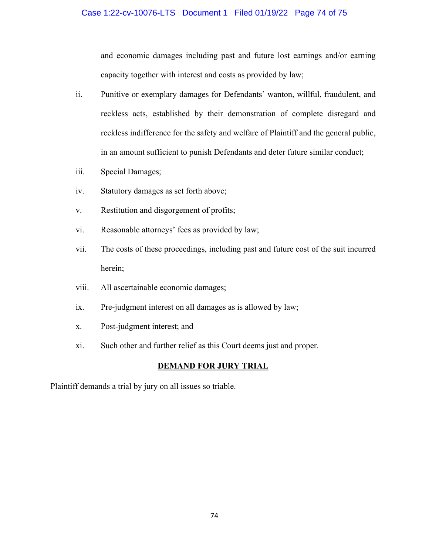## Case 1:22-cv-10076-LTS Document 1 Filed 01/19/22 Page 74 of 75

and economic damages including past and future lost earnings and/or earning capacity together with interest and costs as provided by law;

- ii. Punitive or exemplary damages for Defendants' wanton, willful, fraudulent, and reckless acts, established by their demonstration of complete disregard and reckless indifference for the safety and welfare of Plaintiff and the general public, in an amount sufficient to punish Defendants and deter future similar conduct;
- iii. Special Damages;
- iv. Statutory damages as set forth above;
- v. Restitution and disgorgement of profits;
- vi. Reasonable attorneys' fees as provided by law;
- vii. The costs of these proceedings, including past and future cost of the suit incurred herein;
- viii. All ascertainable economic damages;
- ix. Pre-judgment interest on all damages as is allowed by law;
- x. Post-judgment interest; and
- xi. Such other and further relief as this Court deems just and proper.

## **DEMAND FOR JURY TRIAL**

Plaintiff demands a trial by jury on all issues so triable.